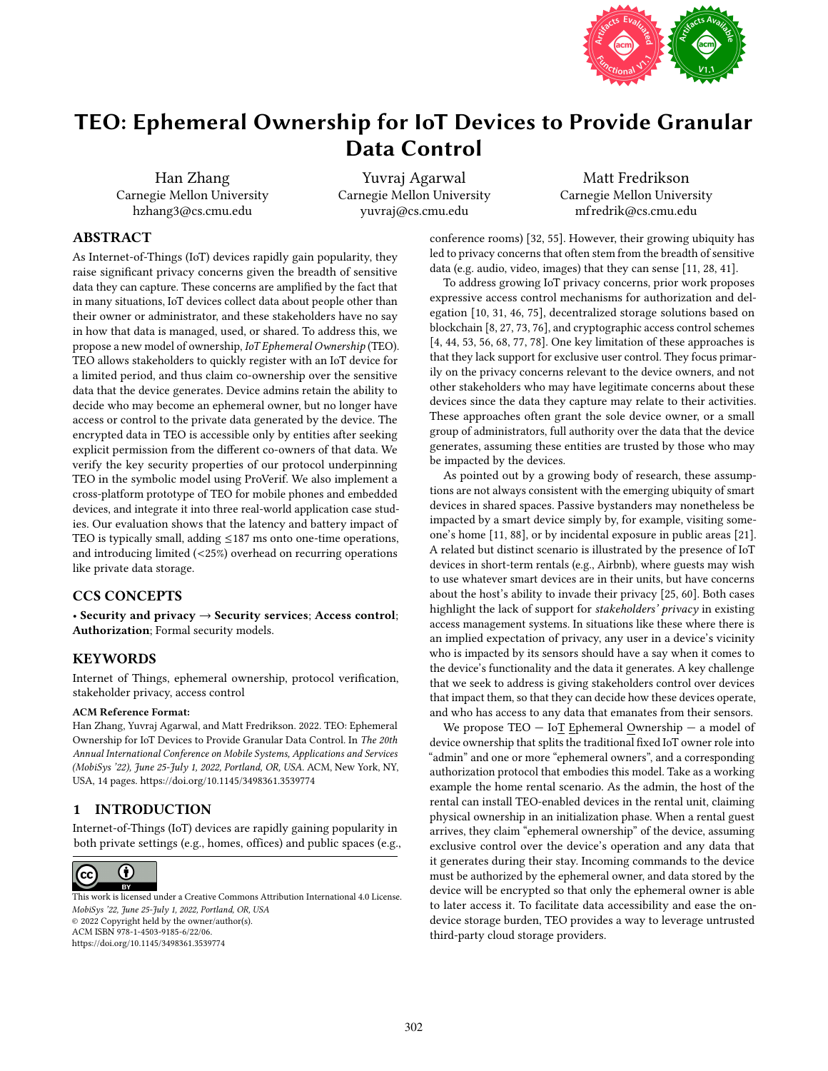

# TEO: Ephemeral Ownership for IoT Devices to Provide Granular Data Control

Han Zhang Carnegie Mellon University hzhang3@cs.cmu.edu

Yuvraj Agarwal Carnegie Mellon University yuvraj@cs.cmu.edu

Matt Fredrikson Carnegie Mellon University mfredrik@cs.cmu.edu

# ABSTRACT

As Internet-of-Things (IoT) devices rapidly gain popularity, they raise significant privacy concerns given the breadth of sensitive data they can capture. These concerns are amplified by the fact that in many situations, IoT devices collect data about people other than their owner or administrator, and these stakeholders have no say in how that data is managed, used, or shared. To address this, we propose a new model of ownership, IoT Ephemeral Ownership (TEO). TEO allows stakeholders to quickly register with an IoT device for a limited period, and thus claim co-ownership over the sensitive data that the device generates. Device admins retain the ability to decide who may become an ephemeral owner, but no longer have access or control to the private data generated by the device. The encrypted data in TEO is accessible only by entities after seeking explicit permission from the different co-owners of that data. We verify the key security properties of our protocol underpinning TEO in the symbolic model using ProVerif. We also implement a cross-platform prototype of TEO for mobile phones and embedded devices, and integrate it into three real-world application case studies. Our evaluation shows that the latency and battery impact of TEO is typically small, adding  $\leq 187$  ms onto one-time operations, and introducing limited (<25%) overhead on recurring operations like private data storage.

# CCS CONCEPTS

• Security and privacy → Security services; Access control; Authorization; Formal security models.

# **KEYWORDS**

Internet of Things, ephemeral ownership, protocol verification, stakeholder privacy, access control

#### ACM Reference Format:

Han Zhang, Yuvraj Agarwal, and Matt Fredrikson. 2022. TEO: Ephemeral Ownership for IoT Devices to Provide Granular Data Control. In The 20th Annual International Conference on Mobile Systems, Applications and Services (MobiSys '22), June 25-July 1, 2022, Portland, OR, USA. ACM, New York, NY, USA, [14](#page-13-0) pages. <https://doi.org/10.1145/3498361.3539774>

# 1 INTRODUCTION

Internet-of-Things (IoT) devices are rapidly gaining popularity in both private settings (e.g., homes, offices) and public spaces (e.g.,



MobiSys '22, June 25-July 1, 2022, Portland, OR, USA © 2022 Copyright held by the owner/author(s). ACM ISBN 978-1-4503-9185-6/22/06. <https://doi.org/10.1145/3498361.3539774> [This work is licensed under a Creative Commons Attribution International 4.0 License.](https://creativecommons.org/licenses/by/4.0/)

conference rooms) [\[32,](#page-12-0) [55\]](#page-13-1). However, their growing ubiquity has led to privacy concerns that often stem from the breadth of sensitive data (e.g. audio, video, images) that they can sense [\[11,](#page-12-1) [28,](#page-12-2) [41\]](#page-12-3).

To address growing IoT privacy concerns, prior work proposes expressive access control mechanisms for authorization and delegation [\[10,](#page-12-4) [31,](#page-12-5) [46,](#page-12-6) [75\]](#page-13-2), decentralized storage solutions based on blockchain [\[8,](#page-12-7) [27,](#page-12-8) [73,](#page-13-3) [76\]](#page-13-4), and cryptographic access control schemes [\[4,](#page-12-9) [44,](#page-12-10) [53,](#page-13-5) [56,](#page-13-6) [68,](#page-13-7) [77,](#page-13-8) [78\]](#page-13-9). One key limitation of these approaches is that they lack support for exclusive user control. They focus primarily on the privacy concerns relevant to the device owners, and not other stakeholders who may have legitimate concerns about these devices since the data they capture may relate to their activities. These approaches often grant the sole device owner, or a small group of administrators, full authority over the data that the device generates, assuming these entities are trusted by those who may be impacted by the devices.

As pointed out by a growing body of research, these assumptions are not always consistent with the emerging ubiquity of smart devices in shared spaces. Passive bystanders may nonetheless be impacted by a smart device simply by, for example, visiting someone's home [\[11,](#page-12-1) [88\]](#page-13-10), or by incidental exposure in public areas [\[21\]](#page-12-11). A related but distinct scenario is illustrated by the presence of IoT devices in short-term rentals (e.g., Airbnb), where guests may wish to use whatever smart devices are in their units, but have concerns about the host's ability to invade their privacy [\[25,](#page-12-12) [60\]](#page-13-11). Both cases highlight the lack of support for stakeholders' privacy in existing access management systems. In situations like these where there is an implied expectation of privacy, any user in a device's vicinity who is impacted by its sensors should have a say when it comes to the device's functionality and the data it generates. A key challenge that we seek to address is giving stakeholders control over devices that impact them, so that they can decide how these devices operate, and who has access to any data that emanates from their sensors.

We propose TEO — IoT Ephemeral Ownership — a model of device ownership that splits the traditional fixed IoT owner role into "admin" and one or more "ephemeral owners", and a corresponding authorization protocol that embodies this model. Take as a working example the home rental scenario. As the admin, the host of the rental can install TEO-enabled devices in the rental unit, claiming physical ownership in an initialization phase. When a rental guest arrives, they claim "ephemeral ownership" of the device, assuming exclusive control over the device's operation and any data that it generates during their stay. Incoming commands to the device must be authorized by the ephemeral owner, and data stored by the device will be encrypted so that only the ephemeral owner is able to later access it. To facilitate data accessibility and ease the ondevice storage burden, TEO provides a way to leverage untrusted third-party cloud storage providers.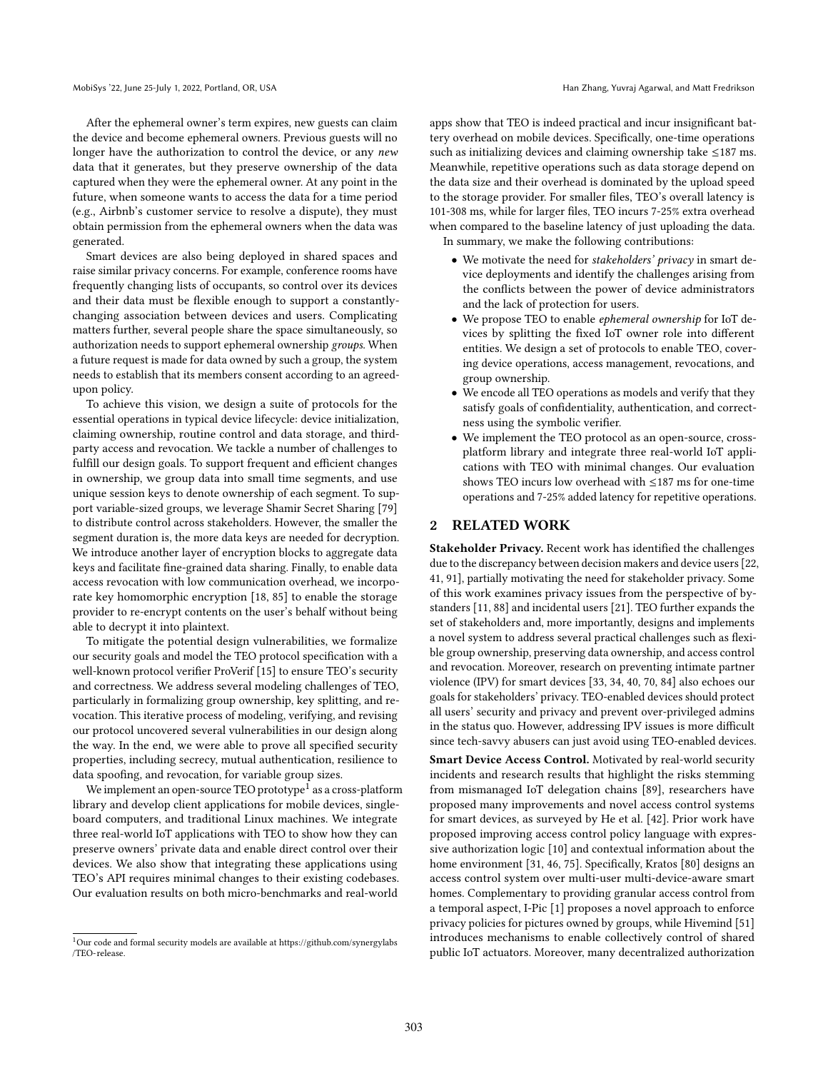After the ephemeral owner's term expires, new guests can claim the device and become ephemeral owners. Previous guests will no longer have the authorization to control the device, or any new data that it generates, but they preserve ownership of the data captured when they were the ephemeral owner. At any point in the future, when someone wants to access the data for a time period (e.g., Airbnb's customer service to resolve a dispute), they must obtain permission from the ephemeral owners when the data was generated.

Smart devices are also being deployed in shared spaces and raise similar privacy concerns. For example, conference rooms have frequently changing lists of occupants, so control over its devices and their data must be flexible enough to support a constantlychanging association between devices and users. Complicating matters further, several people share the space simultaneously, so authorization needs to support ephemeral ownership groups. When a future request is made for data owned by such a group, the system needs to establish that its members consent according to an agreedupon policy.

To achieve this vision, we design a suite of protocols for the essential operations in typical device lifecycle: device initialization, claiming ownership, routine control and data storage, and thirdparty access and revocation. We tackle a number of challenges to fulfill our design goals. To support frequent and efficient changes in ownership, we group data into small time segments, and use unique session keys to denote ownership of each segment. To support variable-sized groups, we leverage Shamir Secret Sharing [\[79\]](#page-13-12) to distribute control across stakeholders. However, the smaller the segment duration is, the more data keys are needed for decryption. We introduce another layer of encryption blocks to aggregate data keys and facilitate fine-grained data sharing. Finally, to enable data access revocation with low communication overhead, we incorporate key homomorphic encryption [\[18,](#page-12-13) [85\]](#page-13-13) to enable the storage provider to re-encrypt contents on the user's behalf without being able to decrypt it into plaintext.

To mitigate the potential design vulnerabilities, we formalize our security goals and model the TEO protocol specification with a well-known protocol verifier ProVerif [\[15\]](#page-12-14) to ensure TEO's security and correctness. We address several modeling challenges of TEO, particularly in formalizing group ownership, key splitting, and revocation. This iterative process of modeling, verifying, and revising our protocol uncovered several vulnerabilities in our design along the way. In the end, we were able to prove all specified security properties, including secrecy, mutual authentication, resilience to data spoofing, and revocation, for variable group sizes.

We implement an open-source TEO prototype  ${}^{\bar 1}$  ${}^{\bar 1}$  ${}^{\bar 1}$  as a cross-platform library and develop client applications for mobile devices, singleboard computers, and traditional Linux machines. We integrate three real-world IoT applications with TEO to show how they can preserve owners' private data and enable direct control over their devices. We also show that integrating these applications using TEO's API requires minimal changes to their existing codebases. Our evaluation results on both micro-benchmarks and real-world

apps show that TEO is indeed practical and incur insignificant battery overhead on mobile devices. Specifically, one-time operations such as initializing devices and claiming ownership take ≤187 ms. Meanwhile, repetitive operations such as data storage depend on the data size and their overhead is dominated by the upload speed to the storage provider. For smaller files, TEO's overall latency is 101-308 ms, while for larger files, TEO incurs 7-25% extra overhead when compared to the baseline latency of just uploading the data. In summary, we make the following contributions:

• We motivate the need for stakeholders' privacy in smart de-

- vice deployments and identify the challenges arising from the conflicts between the power of device administrators and the lack of protection for users.
- We propose TEO to enable ephemeral ownership for IoT devices by splitting the fixed IoT owner role into different entities. We design a set of protocols to enable TEO, covering device operations, access management, revocations, and group ownership.
- We encode all TEO operations as models and verify that they satisfy goals of confidentiality, authentication, and correctness using the symbolic verifier.
- We implement the TEO protocol as an open-source, crossplatform library and integrate three real-world IoT applications with TEO with minimal changes. Our evaluation shows TEO incurs low overhead with ≤187 ms for one-time operations and 7-25% added latency for repetitive operations.

## <span id="page-1-1"></span>2 RELATED WORK

Stakeholder Privacy. Recent work has identified the challenges due to the discrepancy between decision makers and device users [\[22,](#page-12-15) [41,](#page-12-3) [91\]](#page-13-14), partially motivating the need for stakeholder privacy. Some of this work examines privacy issues from the perspective of bystanders [\[11,](#page-12-1) [88\]](#page-13-10) and incidental users [\[21\]](#page-12-11). TEO further expands the set of stakeholders and, more importantly, designs and implements a novel system to address several practical challenges such as flexible group ownership, preserving data ownership, and access control and revocation. Moreover, research on preventing intimate partner violence (IPV) for smart devices [\[33,](#page-12-16) [34,](#page-12-17) [40,](#page-12-18) [70,](#page-13-15) [84\]](#page-13-16) also echoes our goals for stakeholders' privacy. TEO-enabled devices should protect all users' security and privacy and prevent over-privileged admins in the status quo. However, addressing IPV issues is more difficult since tech-savvy abusers can just avoid using TEO-enabled devices.

Smart Device Access Control. Motivated by real-world security incidents and research results that highlight the risks stemming from mismanaged IoT delegation chains [\[89\]](#page-13-17), researchers have proposed many improvements and novel access control systems for smart devices, as surveyed by He et al. [\[42\]](#page-12-19). Prior work have proposed improving access control policy language with expressive authorization logic [\[10\]](#page-12-4) and contextual information about the home environment [\[31,](#page-12-5) [46,](#page-12-6) [75\]](#page-13-2). Specifically, Kratos [\[80\]](#page-13-18) designs an access control system over multi-user multi-device-aware smart homes. Complementary to providing granular access control from a temporal aspect, I-Pic [\[1\]](#page-12-20) proposes a novel approach to enforce privacy policies for pictures owned by groups, while Hivemind [\[51\]](#page-13-19) introduces mechanisms to enable collectively control of shared public IoT actuators. Moreover, many decentralized authorization

<span id="page-1-0"></span><sup>1</sup>Our code and formal security models are available at [https://github.com/synergylabs](https://github.com/synergylabs/TEO-release) [/TEO-release.](https://github.com/synergylabs/TEO-release)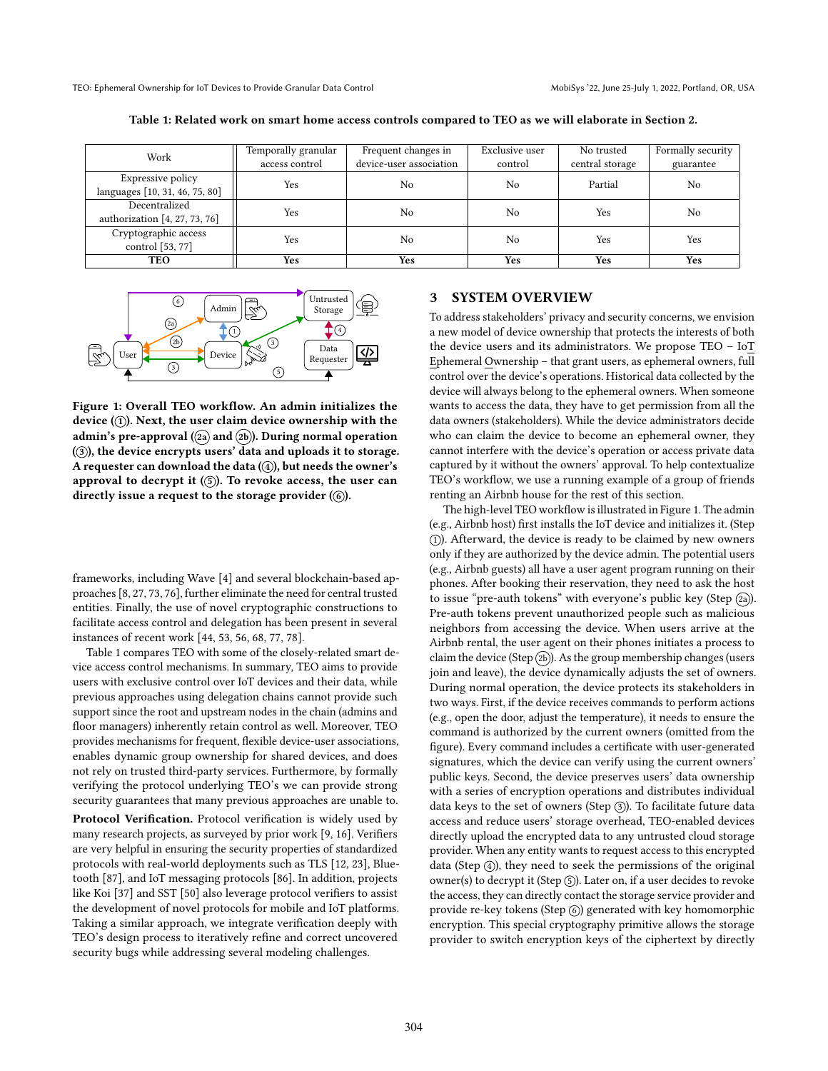<span id="page-2-0"></span>

| Work                                     | Temporally granular<br>access control | Frequent changes in<br>device-user association | Exclusive user<br>control | No trusted<br>central storage | Formally security<br>guarantee |
|------------------------------------------|---------------------------------------|------------------------------------------------|---------------------------|-------------------------------|--------------------------------|
|                                          |                                       |                                                |                           |                               |                                |
| Expressive policy                        | Yes                                   | No                                             | N <sub>0</sub>            | Partial                       | No                             |
| languages [10, 31, 46, 75, 80]           |                                       |                                                |                           |                               |                                |
| Decentralized                            |                                       |                                                |                           |                               |                                |
| authorization $[4, 27, 73, 76]$          | Yes                                   | No                                             | No                        | Yes                           | No                             |
| Cryptographic access<br>control [53, 77] | Yes                                   | No                                             | No                        | Yes                           | Yes                            |
| TEO                                      | Yes                                   | Yes                                            | Yes                       | Yes                           | <b>Yes</b>                     |

Table 1: Related work on smart home access controls compared to TEO as we will elaborate in Section [2.](#page-1-1)

<span id="page-2-1"></span>

Figure 1: Overall TEO workflow. An admin initializes the device  $(1)$ . Next, the user claim device ownership with the admin's pre-approval ( $(2a)$  and  $(2b)$ ). During normal operation (3), the device encrypts users' data and uploads it to storage. A requester can download the data  $(\widehat{4})$ , but needs the owner's approval to decrypt it  $(5)$ . To revoke access, the user can directly issue a request to the storage provider  $(6)$ .

frameworks, including Wave [\[4\]](#page-12-9) and several blockchain-based approaches [\[8,](#page-12-7) [27,](#page-12-8) [73,](#page-13-3) [76\]](#page-13-4), further eliminate the need for central trusted entities. Finally, the use of novel cryptographic constructions to facilitate access control and delegation has been present in several instances of recent work [\[44,](#page-12-10) [53,](#page-13-5) [56,](#page-13-6) [68,](#page-13-7) [77,](#page-13-8) [78\]](#page-13-9).

Table [1](#page-2-0) compares TEO with some of the closely-related smart device access control mechanisms. In summary, TEO aims to provide users with exclusive control over IoT devices and their data, while previous approaches using delegation chains cannot provide such support since the root and upstream nodes in the chain (admins and floor managers) inherently retain control as well. Moreover, TEO provides mechanisms for frequent, flexible device-user associations, enables dynamic group ownership for shared devices, and does not rely on trusted third-party services. Furthermore, by formally verifying the protocol underlying TEO's we can provide strong security guarantees that many previous approaches are unable to.

Protocol Verification. Protocol verification is widely used by many research projects, as surveyed by prior work [\[9,](#page-12-21) [16\]](#page-12-22). Verifiers are very helpful in ensuring the security properties of standardized protocols with real-world deployments such as TLS [\[12,](#page-12-23) [23\]](#page-12-24), Bluetooth [\[87\]](#page-13-20), and IoT messaging protocols [\[86\]](#page-13-21). In addition, projects like Koi [\[37\]](#page-12-25) and SST [\[50\]](#page-12-26) also leverage protocol verifiers to assist the development of novel protocols for mobile and IoT platforms. Taking a similar approach, we integrate verification deeply with TEO's design process to iteratively refine and correct uncovered security bugs while addressing several modeling challenges.

# 3 SYSTEM OVERVIEW

To address stakeholders' privacy and security concerns, we envision a new model of device ownership that protects the interests of both the device users and its administrators. We propose TEO – IoT Ephemeral Ownership – that grant users, as ephemeral owners, full control over the device's operations. Historical data collected by the device will always belong to the ephemeral owners. When someone wants to access the data, they have to get permission from all the data owners (stakeholders). While the device administrators decide who can claim the device to become an ephemeral owner, they cannot interfere with the device's operation or access private data captured by it without the owners' approval. To help contextualize TEO's workflow, we use a running example of a group of friends renting an Airbnb house for the rest of this section.

The high-level TEO workflow is illustrated in Figure [1.](#page-2-1) The admin (e.g., Airbnb host) first installs the IoT device and initializes it. (Step 1 ). Afterward, the device is ready to be claimed by new owners only if they are authorized by the device admin. The potential users (e.g., Airbnb guests) all have a user agent program running on their phones. After booking their reservation, they need to ask the host to issue "pre-auth tokens" with everyone's public key (Step (2a)). Pre-auth tokens prevent unauthorized people such as malicious neighbors from accessing the device. When users arrive at the Airbnb rental, the user agent on their phones initiates a process to claim the device (Step  $(2b)$ ). As the group membership changes (users join and leave), the device dynamically adjusts the set of owners. During normal operation, the device protects its stakeholders in two ways. First, if the device receives commands to perform actions (e.g., open the door, adjust the temperature), it needs to ensure the command is authorized by the current owners (omitted from the figure). Every command includes a certificate with user-generated signatures, which the device can verify using the current owners' public keys. Second, the device preserves users' data ownership with a series of encryption operations and distributes individual data keys to the set of owners (Step  $(3)$ ). To facilitate future data access and reduce users' storage overhead, TEO-enabled devices directly upload the encrypted data to any untrusted cloud storage provider. When any entity wants to request access to this encrypted data (Step  $(4)$ ), they need to seek the permissions of the original owner(s) to decrypt it (Step 5). Later on, if a user decides to revoke the access, they can directly contact the storage service provider and provide re-key tokens (Step ⑥) generated with key homomorphic encryption. This special cryptography primitive allows the storage provider to switch encryption keys of the ciphertext by directly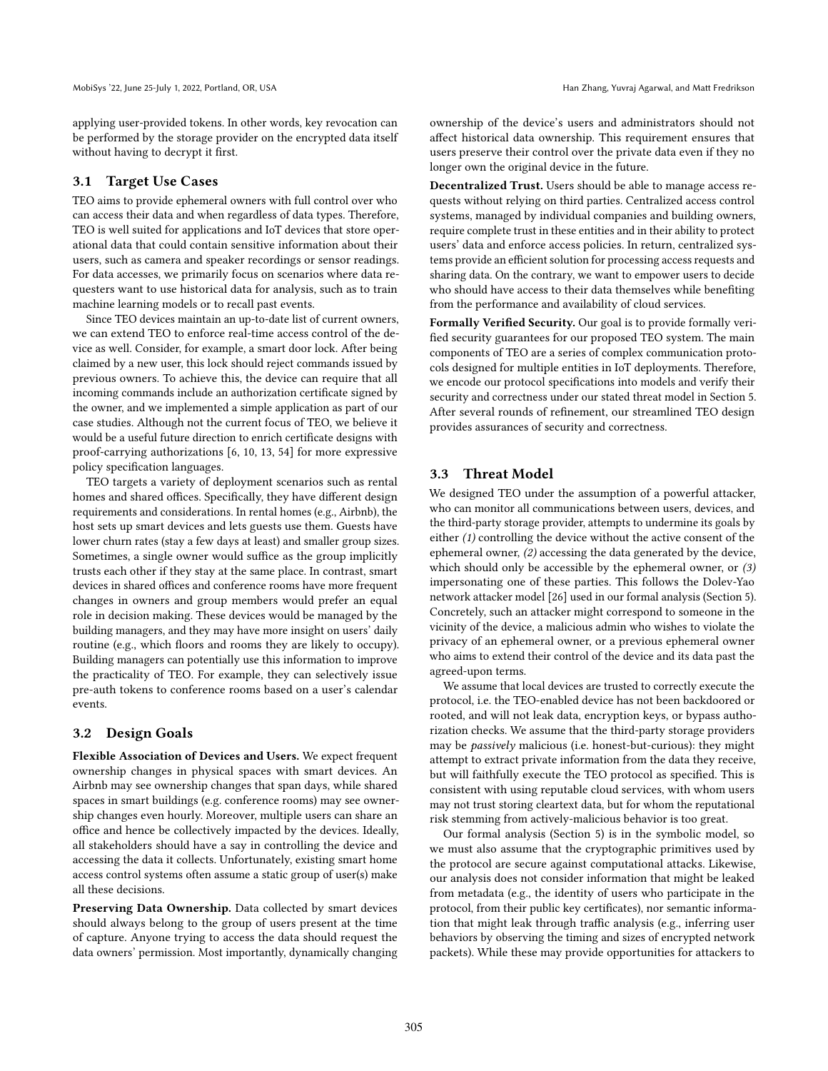applying user-provided tokens. In other words, key revocation can be performed by the storage provider on the encrypted data itself without having to decrypt it first.

## 3.1 Target Use Cases

TEO aims to provide ephemeral owners with full control over who can access their data and when regardless of data types. Therefore, TEO is well suited for applications and IoT devices that store operational data that could contain sensitive information about their users, such as camera and speaker recordings or sensor readings. For data accesses, we primarily focus on scenarios where data requesters want to use historical data for analysis, such as to train machine learning models or to recall past events.

Since TEO devices maintain an up-to-date list of current owners, we can extend TEO to enforce real-time access control of the device as well. Consider, for example, a smart door lock. After being claimed by a new user, this lock should reject commands issued by previous owners. To achieve this, the device can require that all incoming commands include an authorization certificate signed by the owner, and we implemented a simple application as part of our case studies. Although not the current focus of TEO, we believe it would be a useful future direction to enrich certificate designs with proof-carrying authorizations [\[6,](#page-12-27) [10,](#page-12-4) [13,](#page-12-28) [54\]](#page-13-22) for more expressive policy specification languages.

TEO targets a variety of deployment scenarios such as rental homes and shared offices. Specifically, they have different design requirements and considerations. In rental homes (e.g., Airbnb), the host sets up smart devices and lets guests use them. Guests have lower churn rates (stay a few days at least) and smaller group sizes. Sometimes, a single owner would suffice as the group implicitly trusts each other if they stay at the same place. In contrast, smart devices in shared offices and conference rooms have more frequent changes in owners and group members would prefer an equal role in decision making. These devices would be managed by the building managers, and they may have more insight on users' daily routine (e.g., which floors and rooms they are likely to occupy). Building managers can potentially use this information to improve the practicality of TEO. For example, they can selectively issue pre-auth tokens to conference rooms based on a user's calendar events.

#### 3.2 Design Goals

Flexible Association of Devices and Users. We expect frequent ownership changes in physical spaces with smart devices. An Airbnb may see ownership changes that span days, while shared spaces in smart buildings (e.g. conference rooms) may see ownership changes even hourly. Moreover, multiple users can share an office and hence be collectively impacted by the devices. Ideally, all stakeholders should have a say in controlling the device and accessing the data it collects. Unfortunately, existing smart home access control systems often assume a static group of user(s) make all these decisions.

Preserving Data Ownership. Data collected by smart devices should always belong to the group of users present at the time of capture. Anyone trying to access the data should request the data owners' permission. Most importantly, dynamically changing ownership of the device's users and administrators should not affect historical data ownership. This requirement ensures that users preserve their control over the private data even if they no longer own the original device in the future.

Decentralized Trust. Users should be able to manage access requests without relying on third parties. Centralized access control systems, managed by individual companies and building owners, require complete trust in these entities and in their ability to protect users' data and enforce access policies. In return, centralized systems provide an efficient solution for processing access requests and sharing data. On the contrary, we want to empower users to decide who should have access to their data themselves while benefiting from the performance and availability of cloud services.

Formally Verified Security. Our goal is to provide formally verified security guarantees for our proposed TEO system. The main components of TEO are a series of complex communication protocols designed for multiple entities in IoT deployments. Therefore, we encode our protocol specifications into models and verify their security and correctness under our stated threat model in Section [5.](#page-7-0) After several rounds of refinement, our streamlined TEO design provides assurances of security and correctness.

#### 3.3 Threat Model

We designed TEO under the assumption of a powerful attacker, who can monitor all communications between users, devices, and the third-party storage provider, attempts to undermine its goals by either (1) controlling the device without the active consent of the ephemeral owner, (2) accessing the data generated by the device, which should only be accessible by the ephemeral owner, or (3) impersonating one of these parties. This follows the Dolev-Yao network attacker model [\[26\]](#page-12-29) used in our formal analysis (Section [5\)](#page-7-0). Concretely, such an attacker might correspond to someone in the vicinity of the device, a malicious admin who wishes to violate the privacy of an ephemeral owner, or a previous ephemeral owner who aims to extend their control of the device and its data past the agreed-upon terms.

We assume that local devices are trusted to correctly execute the protocol, i.e. the TEO-enabled device has not been backdoored or rooted, and will not leak data, encryption keys, or bypass authorization checks. We assume that the third-party storage providers may be passively malicious (i.e. honest-but-curious): they might attempt to extract private information from the data they receive, but will faithfully execute the TEO protocol as specified. This is consistent with using reputable cloud services, with whom users may not trust storing cleartext data, but for whom the reputational risk stemming from actively-malicious behavior is too great.

Our formal analysis (Section [5\)](#page-7-0) is in the symbolic model, so we must also assume that the cryptographic primitives used by the protocol are secure against computational attacks. Likewise, our analysis does not consider information that might be leaked from metadata (e.g., the identity of users who participate in the protocol, from their public key certificates), nor semantic information that might leak through traffic analysis (e.g., inferring user behaviors by observing the timing and sizes of encrypted network packets). While these may provide opportunities for attackers to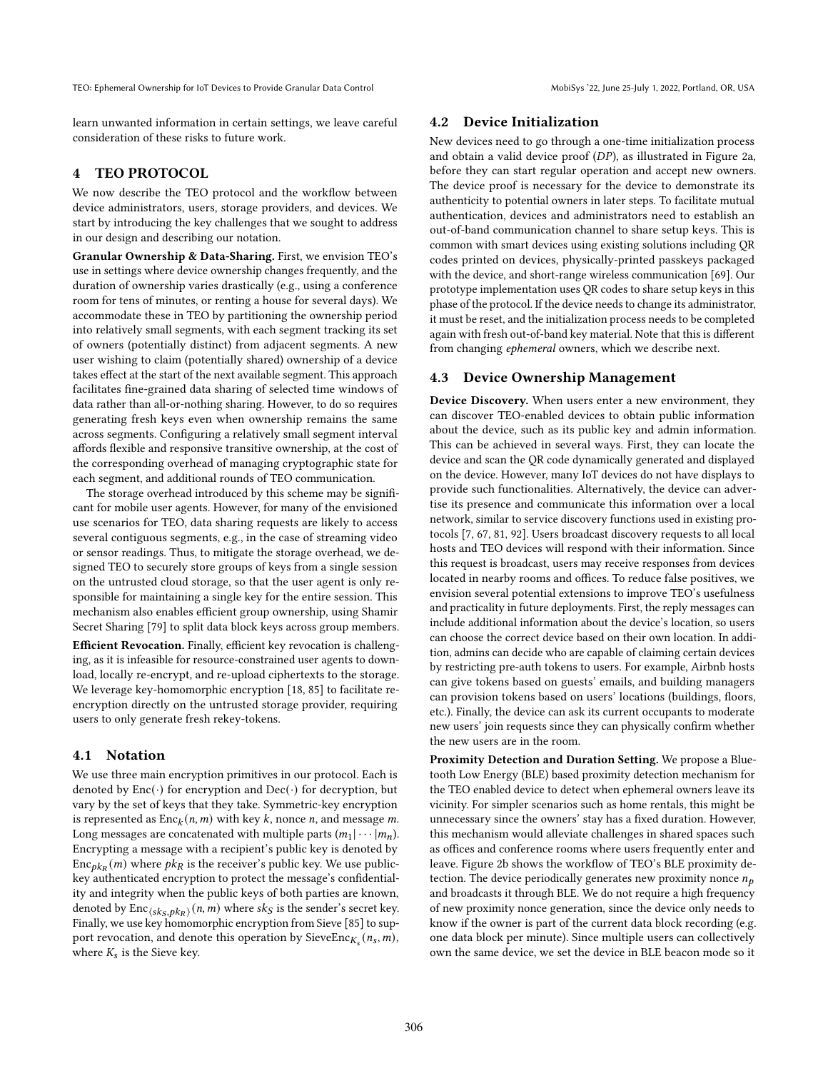learn unwanted information in certain settings, we leave careful consideration of these risks to future work.

# 4 TEO PROTOCOL

We now describe the TEO protocol and the workflow between device administrators, users, storage providers, and devices. We start by introducing the key challenges that we sought to address in our design and describing our notation.

Granular Ownership & Data-Sharing. First, we envision TEO's use in settings where device ownership changes frequently, and the duration of ownership varies drastically (e.g., using a conference room for tens of minutes, or renting a house for several days). We accommodate these in TEO by partitioning the ownership period into relatively small segments, with each segment tracking its set of owners (potentially distinct) from adjacent segments. A new user wishing to claim (potentially shared) ownership of a device takes effect at the start of the next available segment. This approach facilitates fine-grained data sharing of selected time windows of data rather than all-or-nothing sharing. However, to do so requires generating fresh keys even when ownership remains the same across segments. Configuring a relatively small segment interval affords flexible and responsive transitive ownership, at the cost of the corresponding overhead of managing cryptographic state for each segment, and additional rounds of TEO communication.

The storage overhead introduced by this scheme may be significant for mobile user agents. However, for many of the envisioned use scenarios for TEO, data sharing requests are likely to access several contiguous segments, e.g., in the case of streaming video or sensor readings. Thus, to mitigate the storage overhead, we designed TEO to securely store groups of keys from a single session on the untrusted cloud storage, so that the user agent is only responsible for maintaining a single key for the entire session. This mechanism also enables efficient group ownership, using Shamir Secret Sharing [\[79\]](#page-13-12) to split data block keys across group members.

Efficient Revocation. Finally, efficient key revocation is challenging, as it is infeasible for resource-constrained user agents to download, locally re-encrypt, and re-upload ciphertexts to the storage. We leverage key-homomorphic encryption [\[18,](#page-12-13) [85\]](#page-13-13) to facilitate reencryption directly on the untrusted storage provider, requiring users to only generate fresh rekey-tokens.

#### 4.1 Notation

We use three main encryption primitives in our protocol. Each is denoted by  $Enc(\cdot)$  for encryption and  $Dec(\cdot)$  for decryption, but vary by the set of keys that they take. Symmetric-key encryption is represented as  $Enc_k(n, m)$  with key k, nonce n, and message m. Long messages are concatenated with multiple parts  $(m_1 | \cdots | m_n)$ . Encrypting a message with a recipient's public key is denoted by  $\text{Enc}_{pk_R}(m)$  where  $pk_R$  is the receiver's public key. We use publickey authenticated encryption to protect the message's confidentiality and integrity when the public keys of both parties are known, denoted by  $\text{Enc}_{\langle sk_S, pk_R \rangle}(n, m)$  where  $sk_S$  is the sender's secret key. Finally, we use key homomorphic encryption from Sieve [\[85\]](#page-13-13) to support revocation, and denote this operation by SieveEnc $_{K_s}(n_s, m)$ , where  $K_s$  is the Sieve key.

## 4.2 Device Initialization

New devices need to go through a one-time initialization process and obtain a valid device proof  $(DP)$ , as illustrated in Figure [2a,](#page-5-0) before they can start regular operation and accept new owners. The device proof is necessary for the device to demonstrate its authenticity to potential owners in later steps. To facilitate mutual authentication, devices and administrators need to establish an out-of-band communication channel to share setup keys. This is common with smart devices using existing solutions including QR codes printed on devices, physically-printed passkeys packaged with the device, and short-range wireless communication [\[69\]](#page-13-23). Our prototype implementation uses QR codes to share setup keys in this phase of the protocol. If the device needs to change its administrator, it must be reset, and the initialization process needs to be completed again with fresh out-of-band key material. Note that this is different from changing ephemeral owners, which we describe next.

#### <span id="page-4-0"></span>4.3 Device Ownership Management

Device Discovery. When users enter a new environment, they can discover TEO-enabled devices to obtain public information about the device, such as its public key and admin information. This can be achieved in several ways. First, they can locate the device and scan the QR code dynamically generated and displayed on the device. However, many IoT devices do not have displays to provide such functionalities. Alternatively, the device can advertise its presence and communicate this information over a local network, similar to service discovery functions used in existing protocols [\[7,](#page-12-30) [67,](#page-13-24) [81,](#page-13-25) [92\]](#page-13-26). Users broadcast discovery requests to all local hosts and TEO devices will respond with their information. Since this request is broadcast, users may receive responses from devices located in nearby rooms and offices. To reduce false positives, we envision several potential extensions to improve TEO's usefulness and practicality in future deployments. First, the reply messages can include additional information about the device's location, so users can choose the correct device based on their own location. In addition, admins can decide who are capable of claiming certain devices by restricting pre-auth tokens to users. For example, Airbnb hosts can give tokens based on guests' emails, and building managers can provision tokens based on users' locations (buildings, floors, etc.). Finally, the device can ask its current occupants to moderate new users' join requests since they can physically confirm whether the new users are in the room.

Proximity Detection and Duration Setting. We propose a Bluetooth Low Energy (BLE) based proximity detection mechanism for the TEO enabled device to detect when ephemeral owners leave its vicinity. For simpler scenarios such as home rentals, this might be unnecessary since the owners' stay has a fixed duration. However, this mechanism would alleviate challenges in shared spaces such as offices and conference rooms where users frequently enter and leave. Figure [2b](#page-5-1) shows the workflow of TEO's BLE proximity detection. The device periodically generates new proximity nonce  $n<sub>p</sub>$ and broadcasts it through BLE. We do not require a high frequency of new proximity nonce generation, since the device only needs to know if the owner is part of the current data block recording (e.g. one data block per minute). Since multiple users can collectively own the same device, we set the device in BLE beacon mode so it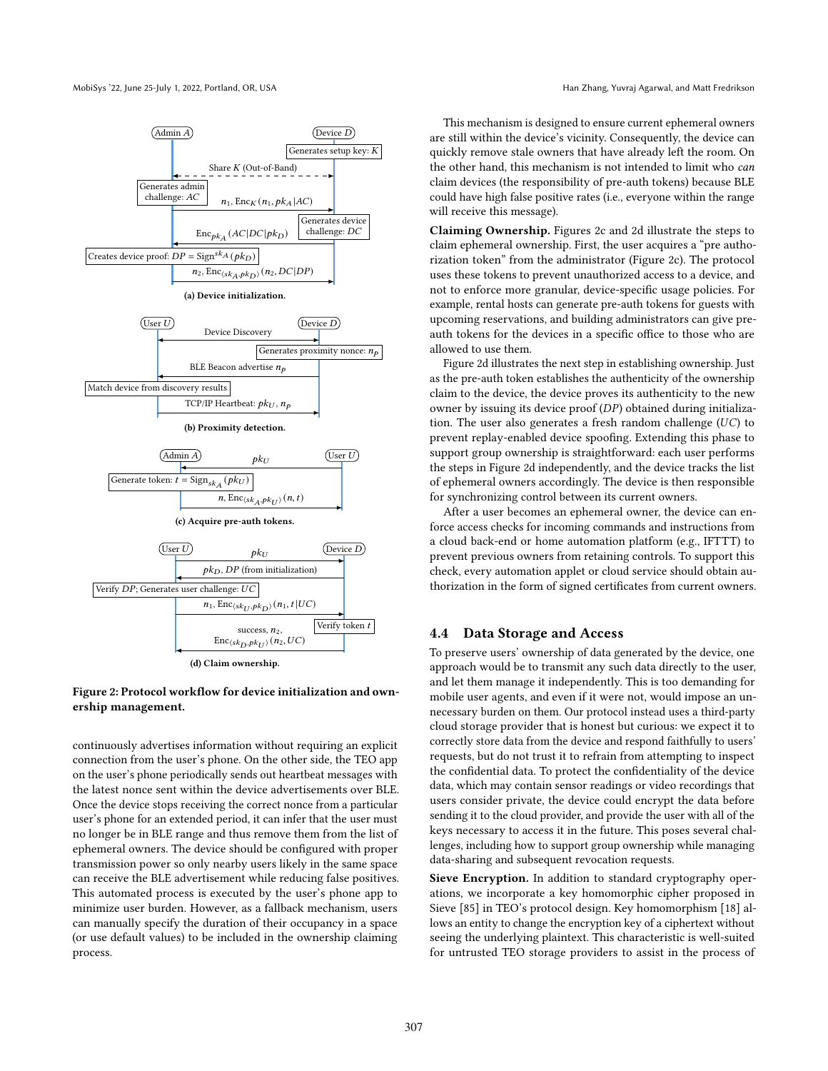

<span id="page-5-1"></span><span id="page-5-0"></span>

#### <span id="page-5-2"></span>(d) Claim ownership.

## <span id="page-5-3"></span>Figure 2: Protocol workflow for device initialization and ownership management.

continuously advertises information without requiring an explicit connection from the user's phone. On the other side, the TEO app on the user's phone periodically sends out heartbeat messages with the latest nonce sent within the device advertisements over BLE. Once the device stops receiving the correct nonce from a particular user's phone for an extended period, it can infer that the user must no longer be in BLE range and thus remove them from the list of ephemeral owners. The device should be configured with proper transmission power so only nearby users likely in the same space can receive the BLE advertisement while reducing false positives. This automated process is executed by the user's phone app to minimize user burden. However, as a fallback mechanism, users can manually specify the duration of their occupancy in a space (or use default values) to be included in the ownership claiming process.

This mechanism is designed to ensure current ephemeral owners are still within the device's vicinity. Consequently, the device can quickly remove stale owners that have already left the room. On the other hand, this mechanism is not intended to limit who can claim devices (the responsibility of pre-auth tokens) because BLE could have high false positive rates (i.e., everyone within the range will receive this message).

Claiming Ownership. Figures [2c](#page-5-2) and [2d](#page-5-3) illustrate the steps to claim ephemeral ownership. First, the user acquires a "pre authorization token" from the administrator (Figure [2c\)](#page-5-2). The protocol uses these tokens to prevent unauthorized access to a device, and not to enforce more granular, device-specific usage policies. For example, rental hosts can generate pre-auth tokens for guests with upcoming reservations, and building administrators can give preauth tokens for the devices in a specific office to those who are allowed to use them.

Figure [2d](#page-5-3) illustrates the next step in establishing ownership. Just as the pre-auth token establishes the authenticity of the ownership claim to the device, the device proves its authenticity to the new owner by issuing its device proof  $(DP)$  obtained during initialization. The user also generates a fresh random challenge  $(UC)$  to prevent replay-enabled device spoofing. Extending this phase to support group ownership is straightforward: each user performs the steps in Figure [2d](#page-5-3) independently, and the device tracks the list of ephemeral owners accordingly. The device is then responsible for synchronizing control between its current owners.

After a user becomes an ephemeral owner, the device can enforce access checks for incoming commands and instructions from a cloud back-end or home automation platform (e.g., IFTTT) to prevent previous owners from retaining controls. To support this check, every automation applet or cloud service should obtain authorization in the form of signed certificates from current owners.

#### <span id="page-5-4"></span>4.4 Data Storage and Access

To preserve users' ownership of data generated by the device, one approach would be to transmit any such data directly to the user, and let them manage it independently. This is too demanding for mobile user agents, and even if it were not, would impose an unnecessary burden on them. Our protocol instead uses a third-party cloud storage provider that is honest but curious: we expect it to correctly store data from the device and respond faithfully to users' requests, but do not trust it to refrain from attempting to inspect the confidential data. To protect the confidentiality of the device data, which may contain sensor readings or video recordings that users consider private, the device could encrypt the data before sending it to the cloud provider, and provide the user with all of the keys necessary to access it in the future. This poses several challenges, including how to support group ownership while managing data-sharing and subsequent revocation requests.

Sieve Encryption. In addition to standard cryptography operations, we incorporate a key homomorphic cipher proposed in Sieve [\[85\]](#page-13-13) in TEO's protocol design. Key homomorphism [\[18\]](#page-12-13) allows an entity to change the encryption key of a ciphertext without seeing the underlying plaintext. This characteristic is well-suited for untrusted TEO storage providers to assist in the process of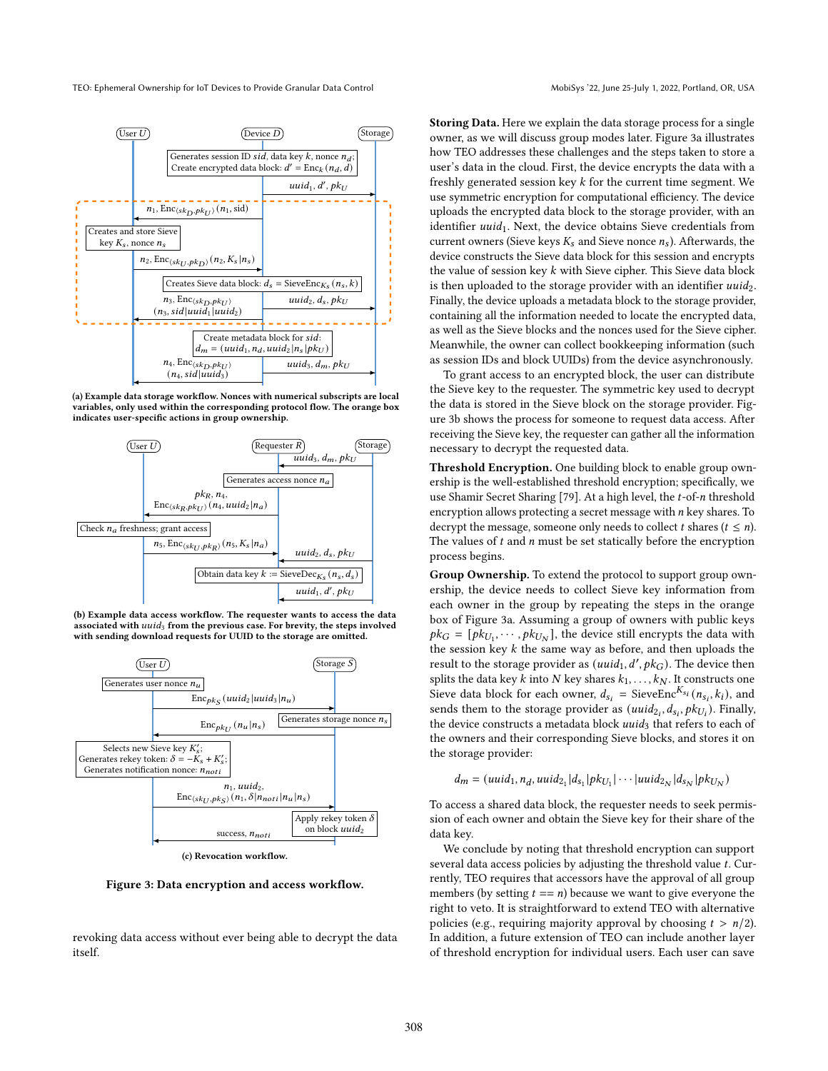<span id="page-6-0"></span>

(a) Example data storage workflow. Nonces with numerical subscripts are local variables, only used within the corresponding protocol flow. The orange box indicates user-specific actions in group ownership.

<span id="page-6-1"></span>

(b) Example data access workflow. The requester wants to access the data associated with  $uuid_3$  from the previous case. For brevity, the steps involved with sending download requests for UUID to the storage are omitted.

<span id="page-6-2"></span>

(c) Revocation workflow.

Figure 3: Data encryption and access workflow.

revoking data access without ever being able to decrypt the data itself.

Storing Data. Here we explain the data storage process for a single owner, as we will discuss group modes later. Figure [3a](#page-6-0) illustrates how TEO addresses these challenges and the steps taken to store a user's data in the cloud. First, the device encrypts the data with a freshly generated session key  $k$  for the current time segment. We use symmetric encryption for computational efficiency. The device uploads the encrypted data block to the storage provider, with an identifier  $uuid_1$ . Next, the device obtains Sieve credentials from current owners (Sieve keys  $K_s$  and Sieve nonce  $n_s$ ). Afterwards, the device constructs the Sieve data block for this session and encrypts the value of session key  $k$  with Sieve cipher. This Sieve data block is then uploaded to the storage provider with an identifier  $uuid_2$ . Finally, the device uploads a metadata block to the storage provider, containing all the information needed to locate the encrypted data, as well as the Sieve blocks and the nonces used for the Sieve cipher. Meanwhile, the owner can collect bookkeeping information (such as session IDs and block UUIDs) from the device asynchronously.

To grant access to an encrypted block, the user can distribute the Sieve key to the requester. The symmetric key used to decrypt the data is stored in the Sieve block on the storage provider. Figure [3b](#page-6-1) shows the process for someone to request data access. After receiving the Sieve key, the requester can gather all the information necessary to decrypt the requested data.

Threshold Encryption. One building block to enable group ownership is the well-established threshold encryption; specifically, we use Shamir Secret Sharing [\[79\]](#page-13-12). At a high level, the  $t$ -of- $n$  threshold encryption allows protecting a secret message with  $n$  key shares. To decrypt the message, someone only needs to collect *t* shares  $(t \le n)$ . The values of  $t$  and  $n$  must be set statically before the encryption process begins.

Group Ownership. To extend the protocol to support group ownership, the device needs to collect Sieve key information from each owner in the group by repeating the steps in the orange box of Figure [3a.](#page-6-0) Assuming a group of owners with public keys  $pk_G = [pk_{U_1}, \dots, pk_{U_N}]$ , the device still encrypts the data with the session key  $k$  the same way as before, and then uploads the result to the storage provider as  $(uuid_1, d', pk_G)$ . The device then splits the data key  $k$  into  $N$  key shares  $k_1, \ldots, k_N$ . It constructs one Sieve data block for each owner,  $d_{s_i}$  = SieveEnc<sup>K<sub>si</sub></sup> ( $n_{s_i}$ ,  $k_i$ ), and sends them to the storage provider as  $(uuid_{2_i}, d_{s_i}, pk_{U_i})$ . Finally, the device constructs a metadata block  $uuid_3$  that refers to each of the owners and their corresponding Sieve blocks, and stores it on the storage provider:

$$
d_m = (uuid_1, n_d, uuid_{2_1}|d_{s_1}|pk_{U_1}|\cdots|uuid_{2_N}|d_{s_N}|pk_{U_N})
$$

To access a shared data block, the requester needs to seek permission of each owner and obtain the Sieve key for their share of the data key.

We conclude by noting that threshold encryption can support several data access policies by adjusting the threshold value  $t$ . Currently, TEO requires that accessors have the approval of all group members (by setting  $t == n$ ) because we want to give everyone the right to veto. It is straightforward to extend TEO with alternative policies (e.g., requiring majority approval by choosing  $t > n/2$ ). In addition, a future extension of TEO can include another layer of threshold encryption for individual users. Each user can save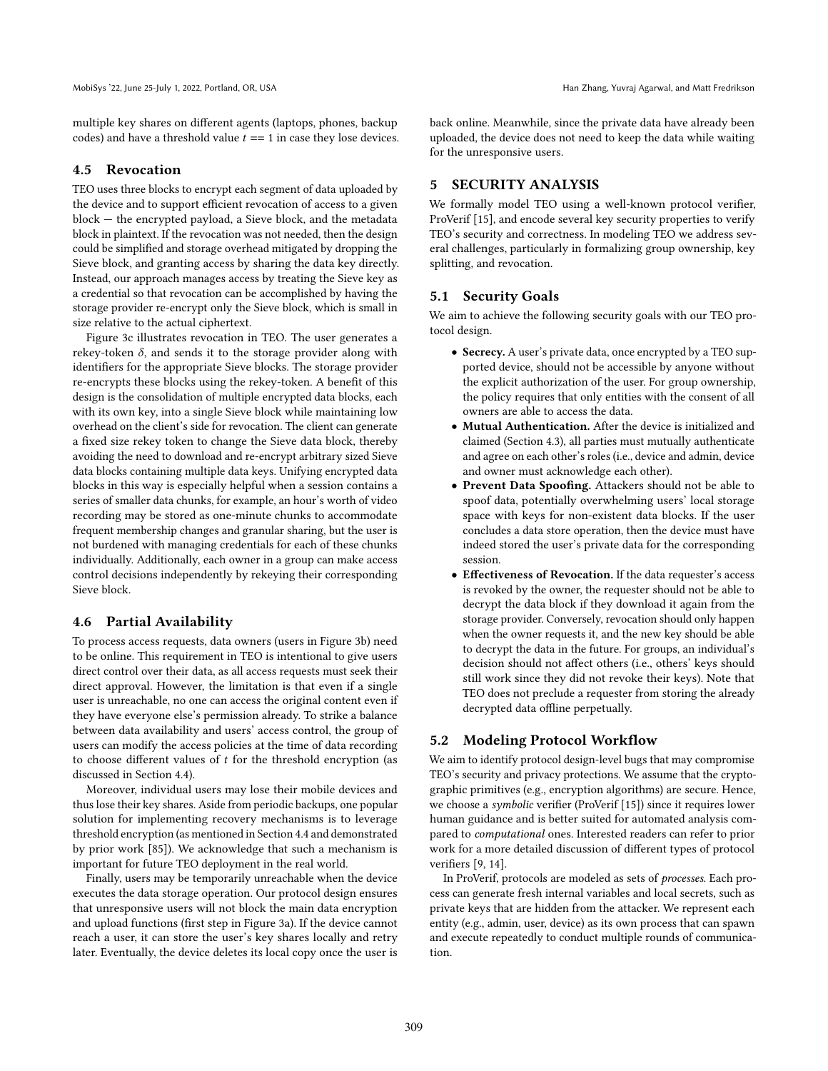multiple key shares on different agents (laptops, phones, backup codes) and have a threshold value  $t = 1$  in case they lose devices.

#### 4.5 Revocation

TEO uses three blocks to encrypt each segment of data uploaded by the device and to support efficient revocation of access to a given block — the encrypted payload, a Sieve block, and the metadata block in plaintext. If the revocation was not needed, then the design could be simplified and storage overhead mitigated by dropping the Sieve block, and granting access by sharing the data key directly. Instead, our approach manages access by treating the Sieve key as a credential so that revocation can be accomplished by having the storage provider re-encrypt only the Sieve block, which is small in size relative to the actual ciphertext.

Figure [3c](#page-6-2) illustrates revocation in TEO. The user generates a rekey-token  $\delta$ , and sends it to the storage provider along with identifiers for the appropriate Sieve blocks. The storage provider re-encrypts these blocks using the rekey-token. A benefit of this design is the consolidation of multiple encrypted data blocks, each with its own key, into a single Sieve block while maintaining low overhead on the client's side for revocation. The client can generate a fixed size rekey token to change the Sieve data block, thereby avoiding the need to download and re-encrypt arbitrary sized Sieve data blocks containing multiple data keys. Unifying encrypted data blocks in this way is especially helpful when a session contains a series of smaller data chunks, for example, an hour's worth of video recording may be stored as one-minute chunks to accommodate frequent membership changes and granular sharing, but the user is not burdened with managing credentials for each of these chunks individually. Additionally, each owner in a group can make access control decisions independently by rekeying their corresponding Sieve block.

## <span id="page-7-2"></span>4.6 Partial Availability

To process access requests, data owners (users in Figure [3b\)](#page-6-1) need to be online. This requirement in TEO is intentional to give users direct control over their data, as all access requests must seek their direct approval. However, the limitation is that even if a single user is unreachable, no one can access the original content even if they have everyone else's permission already. To strike a balance between data availability and users' access control, the group of users can modify the access policies at the time of data recording to choose different values of  $t$  for the threshold encryption (as discussed in Section [4.4\)](#page-5-4).

Moreover, individual users may lose their mobile devices and thus lose their key shares. Aside from periodic backups, one popular solution for implementing recovery mechanisms is to leverage threshold encryption (as mentioned in Section [4.4](#page-5-4) and demonstrated by prior work [\[85\]](#page-13-13)). We acknowledge that such a mechanism is important for future TEO deployment in the real world.

Finally, users may be temporarily unreachable when the device executes the data storage operation. Our protocol design ensures that unresponsive users will not block the main data encryption and upload functions (first step in Figure [3a\)](#page-6-0). If the device cannot reach a user, it can store the user's key shares locally and retry later. Eventually, the device deletes its local copy once the user is back online. Meanwhile, since the private data have already been uploaded, the device does not need to keep the data while waiting for the unresponsive users.

# <span id="page-7-0"></span>5 SECURITY ANALYSIS

We formally model TEO using a well-known protocol verifier, ProVerif [\[15\]](#page-12-14), and encode several key security properties to verify TEO's security and correctness. In modeling TEO we address several challenges, particularly in formalizing group ownership, key splitting, and revocation.

## <span id="page-7-1"></span>5.1 Security Goals

We aim to achieve the following security goals with our TEO protocol design.

- Secrecy. A user's private data, once encrypted by a TEO supported device, should not be accessible by anyone without the explicit authorization of the user. For group ownership, the policy requires that only entities with the consent of all owners are able to access the data.
- Mutual Authentication. After the device is initialized and claimed (Section [4.3\)](#page-4-0), all parties must mutually authenticate and agree on each other's roles (i.e., device and admin, device and owner must acknowledge each other).
- Prevent Data Spoofing. Attackers should not be able to spoof data, potentially overwhelming users' local storage space with keys for non-existent data blocks. If the user concludes a data store operation, then the device must have indeed stored the user's private data for the corresponding session.
- Effectiveness of Revocation. If the data requester's access is revoked by the owner, the requester should not be able to decrypt the data block if they download it again from the storage provider. Conversely, revocation should only happen when the owner requests it, and the new key should be able to decrypt the data in the future. For groups, an individual's decision should not affect others (i.e., others' keys should still work since they did not revoke their keys). Note that TEO does not preclude a requester from storing the already decrypted data offline perpetually.

#### 5.2 Modeling Protocol Workflow

We aim to identify protocol design-level bugs that may compromise TEO's security and privacy protections. We assume that the cryptographic primitives (e.g., encryption algorithms) are secure. Hence, we choose a symbolic verifier (ProVerif [\[15\]](#page-12-14)) since it requires lower human guidance and is better suited for automated analysis compared to computational ones. Interested readers can refer to prior work for a more detailed discussion of different types of protocol verifiers [\[9,](#page-12-21) [14\]](#page-12-31).

In ProVerif, protocols are modeled as sets of processes. Each process can generate fresh internal variables and local secrets, such as private keys that are hidden from the attacker. We represent each entity (e.g., admin, user, device) as its own process that can spawn and execute repeatedly to conduct multiple rounds of communication.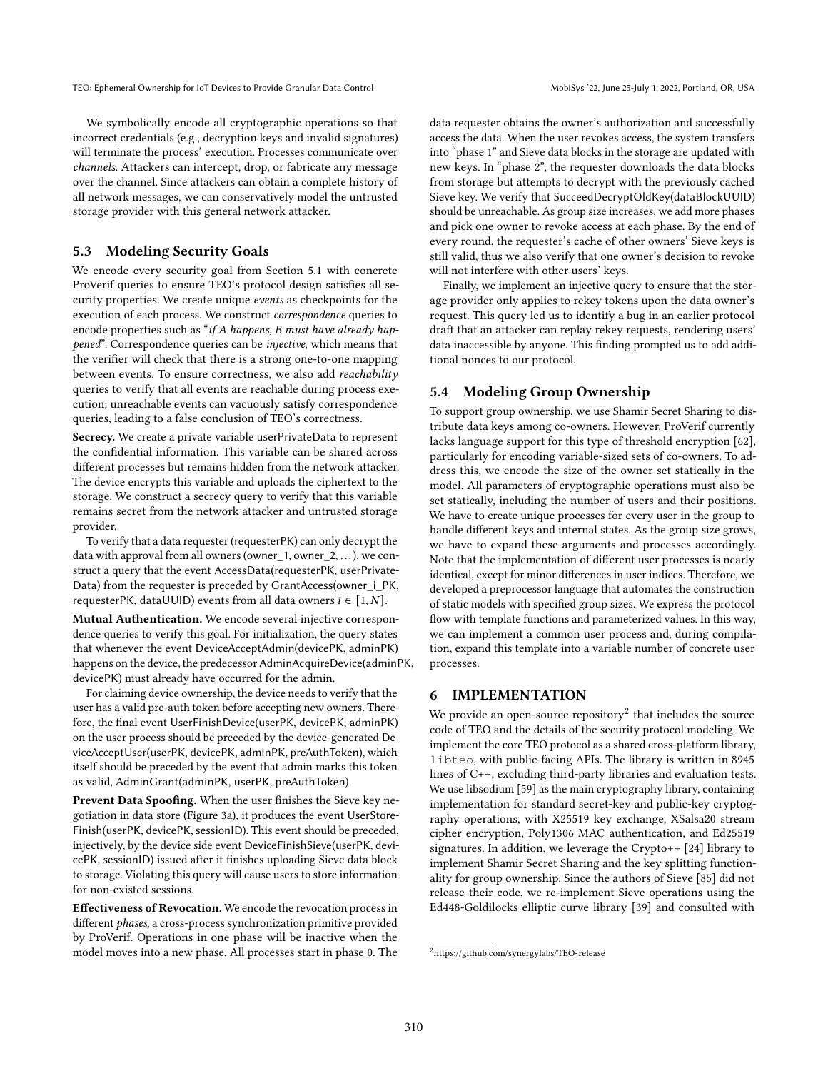We symbolically encode all cryptographic operations so that incorrect credentials (e.g., decryption keys and invalid signatures) will terminate the process' execution. Processes communicate over channels. Attackers can intercept, drop, or fabricate any message over the channel. Since attackers can obtain a complete history of all network messages, we can conservatively model the untrusted storage provider with this general network attacker.

# 5.3 Modeling Security Goals

We encode every security goal from Section [5.1](#page-7-1) with concrete ProVerif queries to ensure TEO's protocol design satisfies all security properties. We create unique events as checkpoints for the execution of each process. We construct correspondence queries to encode properties such as "if A happens, B must have already happened". Correspondence queries can be injective, which means that the verifier will check that there is a strong one-to-one mapping between events. To ensure correctness, we also add reachability queries to verify that all events are reachable during process execution; unreachable events can vacuously satisfy correspondence queries, leading to a false conclusion of TEO's correctness.

Secrecy. We create a private variable userPrivateData to represent the confidential information. This variable can be shared across different processes but remains hidden from the network attacker. The device encrypts this variable and uploads the ciphertext to the storage. We construct a secrecy query to verify that this variable remains secret from the network attacker and untrusted storage provider.

To verify that a data requester (requesterPK) can only decrypt the data with approval from all owners (owner\_1, owner\_2, ...), we construct a query that the event AccessData(requesterPK, userPrivate-Data) from the requester is preceded by GrantAccess(owner i\_PK, requesterPK, dataUUID) events from all data owners  $i \in [1, N]$ .

Mutual Authentication. We encode several injective correspondence queries to verify this goal. For initialization, the query states that whenever the event DeviceAcceptAdmin(devicePK, adminPK) happens on the device, the predecessor AdminAcquireDevice(adminPK, devicePK) must already have occurred for the admin.

For claiming device ownership, the device needs to verify that the user has a valid pre-auth token before accepting new owners. Therefore, the final event UserFinishDevice(userPK, devicePK, adminPK) on the user process should be preceded by the device-generated DeviceAcceptUser(userPK, devicePK, adminPK, preAuthToken), which itself should be preceded by the event that admin marks this token as valid, AdminGrant(adminPK, userPK, preAuthToken).

Prevent Data Spoofing. When the user finishes the Sieve key negotiation in data store (Figure [3a\)](#page-6-0), it produces the event UserStore-Finish(userPK, devicePK, sessionID). This event should be preceded, injectively, by the device side event DeviceFinishSieve(userPK, devicePK, sessionID) issued after it finishes uploading Sieve data block to storage. Violating this query will cause users to store information for non-existed sessions.

Effectiveness of Revocation. We encode the revocation process in different phases, a cross-process synchronization primitive provided by ProVerif. Operations in one phase will be inactive when the model moves into a new phase. All processes start in phase 0. The

data requester obtains the owner's authorization and successfully access the data. When the user revokes access, the system transfers into "phase 1" and Sieve data blocks in the storage are updated with new keys. In "phase 2", the requester downloads the data blocks from storage but attempts to decrypt with the previously cached Sieve key. We verify that SucceedDecryptOldKey(dataBlockUUID) should be unreachable. As group size increases, we add more phases and pick one owner to revoke access at each phase. By the end of every round, the requester's cache of other owners' Sieve keys is still valid, thus we also verify that one owner's decision to revoke will not interfere with other users' keys.

Finally, we implement an injective query to ensure that the storage provider only applies to rekey tokens upon the data owner's request. This query led us to identify a bug in an earlier protocol draft that an attacker can replay rekey requests, rendering users' data inaccessible by anyone. This finding prompted us to add additional nonces to our protocol.

## 5.4 Modeling Group Ownership

To support group ownership, we use Shamir Secret Sharing to distribute data keys among co-owners. However, ProVerif currently lacks language support for this type of threshold encryption [\[62\]](#page-13-27), particularly for encoding variable-sized sets of co-owners. To address this, we encode the size of the owner set statically in the model. All parameters of cryptographic operations must also be set statically, including the number of users and their positions. We have to create unique processes for every user in the group to handle different keys and internal states. As the group size grows, we have to expand these arguments and processes accordingly. Note that the implementation of different user processes is nearly identical, except for minor differences in user indices. Therefore, we developed a preprocessor language that automates the construction of static models with specified group sizes. We express the protocol flow with template functions and parameterized values. In this way, we can implement a common user process and, during compilation, expand this template into a variable number of concrete user processes.

## 6 IMPLEMENTATION

We provide an open-source repository $^2$  $^2$  that includes the source code of TEO and the details of the security protocol modeling. We implement the core TEO protocol as a shared cross-platform library, libteo, with public-facing APIs. The library is written in 8945 lines of C++, excluding third-party libraries and evaluation tests. We use libsodium [\[59\]](#page-13-28) as the main cryptography library, containing implementation for standard secret-key and public-key cryptography operations, with X25519 key exchange, XSalsa20 stream cipher encryption, Poly1306 MAC authentication, and Ed25519 signatures. In addition, we leverage the Crypto++ [\[24\]](#page-12-32) library to implement Shamir Secret Sharing and the key splitting functionality for group ownership. Since the authors of Sieve [\[85\]](#page-13-13) did not release their code, we re-implement Sieve operations using the Ed448-Goldilocks elliptic curve library [\[39\]](#page-12-33) and consulted with

<span id="page-8-0"></span><sup>2</sup><https://github.com/synergylabs/TEO-release>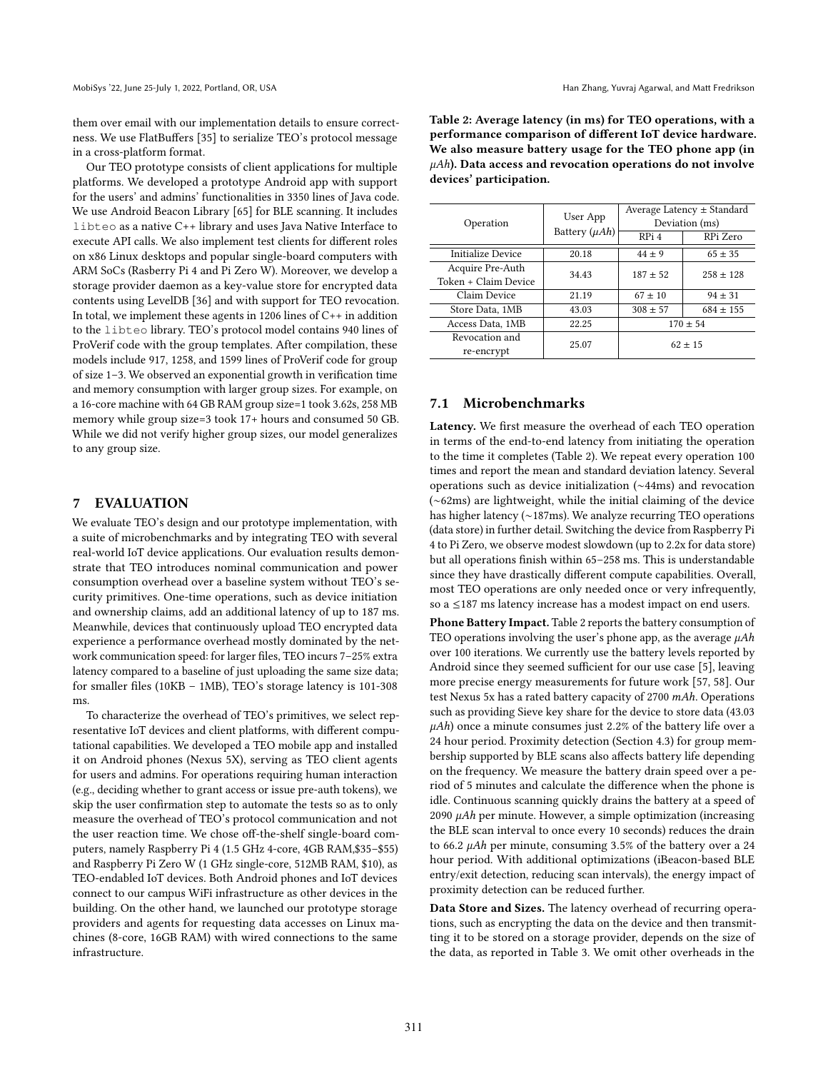them over email with our implementation details to ensure correctness. We use FlatBuffers [\[35\]](#page-12-34) to serialize TEO's protocol message in a cross-platform format.

Our TEO prototype consists of client applications for multiple platforms. We developed a prototype Android app with support for the users' and admins' functionalities in 3350 lines of Java code. We use Android Beacon Library [\[65\]](#page-13-29) for BLE scanning. It includes libteo as a native C++ library and uses Java Native Interface to execute API calls. We also implement test clients for different roles on x86 Linux desktops and popular single-board computers with ARM SoCs (Rasberry Pi 4 and Pi Zero W). Moreover, we develop a storage provider daemon as a key-value store for encrypted data contents using LevelDB [\[36\]](#page-12-35) and with support for TEO revocation. In total, we implement these agents in 1206 lines of  $C++$  in addition to the libteo library. TEO's protocol model contains 940 lines of ProVerif code with the group templates. After compilation, these models include 917, 1258, and 1599 lines of ProVerif code for group of size 1–3. We observed an exponential growth in verification time and memory consumption with larger group sizes. For example, on a 16-core machine with 64 GB RAM group size=1 took 3.62s, 258 MB memory while group size=3 took 17+ hours and consumed 50 GB. While we did not verify higher group sizes, our model generalizes to any group size.

## 7 EVALUATION

We evaluate TEO's design and our prototype implementation, with a suite of microbenchmarks and by integrating TEO with several real-world IoT device applications. Our evaluation results demonstrate that TEO introduces nominal communication and power consumption overhead over a baseline system without TEO's security primitives. One-time operations, such as device initiation and ownership claims, add an additional latency of up to 187 ms. Meanwhile, devices that continuously upload TEO encrypted data experience a performance overhead mostly dominated by the network communication speed: for larger files, TEO incurs 7–25% extra latency compared to a baseline of just uploading the same size data; for smaller files (10KB – 1MB), TEO's storage latency is 101-308 ms.

To characterize the overhead of TEO's primitives, we select representative IoT devices and client platforms, with different computational capabilities. We developed a TEO mobile app and installed it on Android phones (Nexus 5X), serving as TEO client agents for users and admins. For operations requiring human interaction (e.g., deciding whether to grant access or issue pre-auth tokens), we skip the user confirmation step to automate the tests so as to only measure the overhead of TEO's protocol communication and not the user reaction time. We chose off-the-shelf single-board computers, namely Raspberry Pi 4 (1.5 GHz 4-core, 4GB RAM,\$35–\$55) and Raspberry Pi Zero W (1 GHz single-core, 512MB RAM, \$10), as TEO-endabled IoT devices. Both Android phones and IoT devices connect to our campus WiFi infrastructure as other devices in the building. On the other hand, we launched our prototype storage providers and agents for requesting data accesses on Linux machines (8-core, 16GB RAM) with wired connections to the same infrastructure.

<span id="page-9-0"></span>

| Table 2: Average latency (in ms) for TEO operations, with a     |
|-----------------------------------------------------------------|
| performance comparison of different IoT device hardware.        |
| We also measure battery usage for the TEO phone app (in         |
| $\mu$ Ah). Data access and revocation operations do not involve |
| devices' participation.                                         |

| Operation                                | User App<br>Battery $(\mu Ah)$ | Average Latency $\pm$ Standard<br>Deviation (ms)<br>RPi 4<br>RPi Zero |             |  |
|------------------------------------------|--------------------------------|-----------------------------------------------------------------------|-------------|--|
| Initialize Device                        | 20.18                          | $44 + 9$                                                              | $65 \pm 35$ |  |
| Acquire Pre-Auth<br>Token + Claim Device | 34.43                          | $187 + 52$                                                            | $258 + 128$ |  |
| Claim Device                             | 21.19                          | $67 + 10$                                                             | $94 \pm 31$ |  |
| Store Data, 1MB                          | 43.03                          | $308 \pm 57$                                                          | $684 + 155$ |  |
| Access Data, 1MB                         | 22.25                          | $170 + 54$                                                            |             |  |
| Revocation and<br>re-encrypt             | 25.07                          | $62 + 15$                                                             |             |  |

#### 7.1 Microbenchmarks

Latency. We first measure the overhead of each TEO operation in terms of the end-to-end latency from initiating the operation to the time it completes (Table [2\)](#page-9-0). We repeat every operation 100 times and report the mean and standard deviation latency. Several operations such as device initialization (∼44ms) and revocation (∼62ms) are lightweight, while the initial claiming of the device has higher latency (∼187ms). We analyze recurring TEO operations (data store) in further detail. Switching the device from Raspberry Pi 4 to Pi Zero, we observe modest slowdown (up to 2.2x for data store) but all operations finish within 65–258 ms. This is understandable since they have drastically different compute capabilities. Overall, most TEO operations are only needed once or very infrequently, so a ≤187 ms latency increase has a modest impact on end users.

Phone Battery Impact. Table [2](#page-9-0) reports the battery consumption of TEO operations involving the user's phone app, as the average  $\mu Ah$ over 100 iterations. We currently use the battery levels reported by Android since they seemed sufficient for our use case [\[5\]](#page-12-36), leaving more precise energy measurements for future work [\[57,](#page-13-30) [58\]](#page-13-31). Our test Nexus 5x has a rated battery capacity of 2700 mAh. Operations such as providing Sieve key share for the device to store data (43.03  $\mu$ Ah) once a minute consumes just 2.2% of the battery life over a 24 hour period. Proximity detection (Section [4.3\)](#page-4-0) for group membership supported by BLE scans also affects battery life depending on the frequency. We measure the battery drain speed over a period of 5 minutes and calculate the difference when the phone is idle. Continuous scanning quickly drains the battery at a speed of  $2090$   $\mu$ Ah per minute. However, a simple optimization (increasing the BLE scan interval to once every 10 seconds) reduces the drain to 66.2  $\mu$ Ah per minute, consuming 3.5% of the battery over a 24 hour period. With additional optimizations (iBeacon-based BLE entry/exit detection, reducing scan intervals), the energy impact of proximity detection can be reduced further.

Data Store and Sizes. The latency overhead of recurring operations, such as encrypting the data on the device and then transmitting it to be stored on a storage provider, depends on the size of the data, as reported in Table [3.](#page-10-0) We omit other overheads in the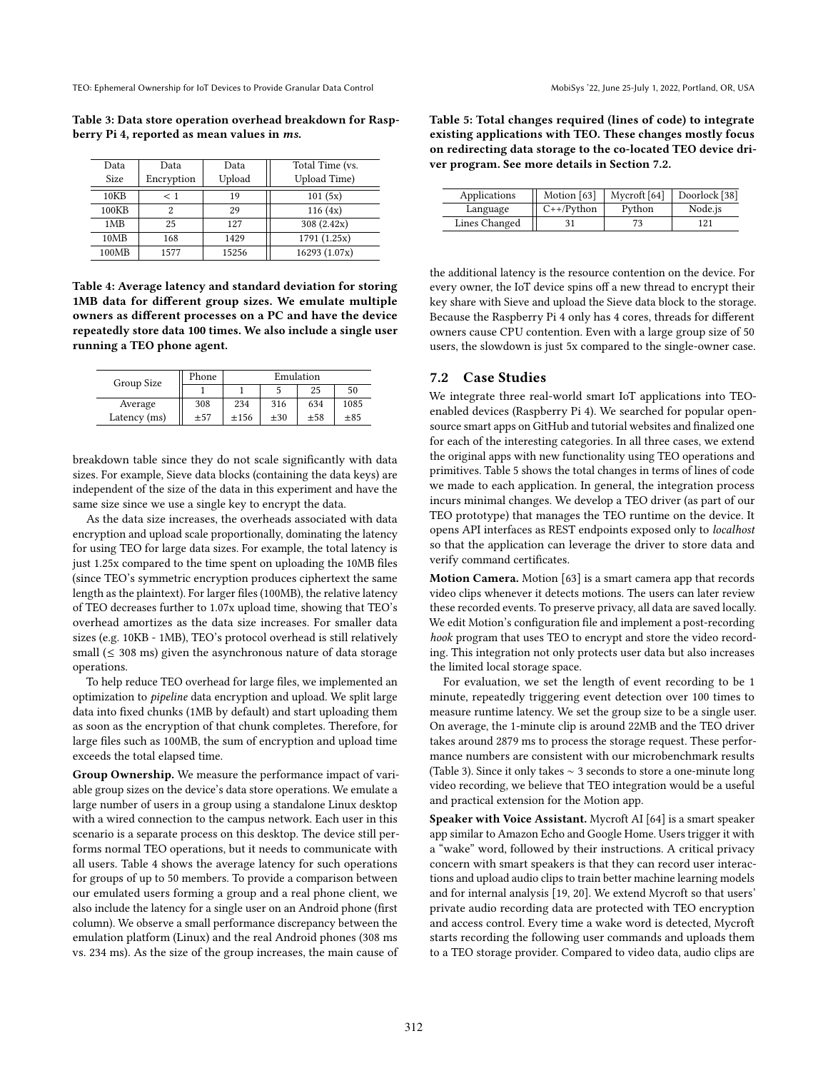<span id="page-10-0"></span>

|  |                                                    | Table 3: Data store operation overhead breakdown for Rasp- |  |
|--|----------------------------------------------------|------------------------------------------------------------|--|
|  | berry Pi 4, reported as mean values in <i>ms</i> . |                                                            |  |

| Data        | Data       | Data   | Total Time (vs. |
|-------------|------------|--------|-----------------|
| <b>Size</b> | Encryption | Upload | Upload Time)    |
| 10KB        | $<$ 1      | 19     | 101(5x)         |
| 100KB       | 2          | 29     | 116(4x)         |
| 1MB         | 25         | 127    | 308(2.42x)      |
| 10MB        | 168        | 1429   | 1791(1.25x)     |
| 100MB       | 1577       | 15256  | 16293 (1.07x)   |

<span id="page-10-1"></span>Table 4: Average latency and standard deviation for storing 1MB data for different group sizes. We emulate multiple owners as different processes on a PC and have the device repeatedly store data 100 times. We also include a single user running a TEO phone agent.

| Group Size   | Phone | Emulation |       |       |          |
|--------------|-------|-----------|-------|-------|----------|
|              |       |           |       | 25    | 50       |
| Average      | 308   | 234       | 316   | 634   | 1085     |
| Latency (ms) | ±57   | $+156$    | $+30$ | $+58$ | $\pm 85$ |

breakdown table since they do not scale significantly with data sizes. For example, Sieve data blocks (containing the data keys) are independent of the size of the data in this experiment and have the same size since we use a single key to encrypt the data.

As the data size increases, the overheads associated with data encryption and upload scale proportionally, dominating the latency for using TEO for large data sizes. For example, the total latency is just 1.25x compared to the time spent on uploading the 10MB files (since TEO's symmetric encryption produces ciphertext the same length as the plaintext). For larger files (100MB), the relative latency of TEO decreases further to 1.07x upload time, showing that TEO's overhead amortizes as the data size increases. For smaller data sizes (e.g. 10KB - 1MB), TEO's protocol overhead is still relatively small ( $\leq$  308 ms) given the asynchronous nature of data storage operations.

To help reduce TEO overhead for large files, we implemented an optimization to pipeline data encryption and upload. We split large data into fixed chunks (1MB by default) and start uploading them as soon as the encryption of that chunk completes. Therefore, for large files such as 100MB, the sum of encryption and upload time exceeds the total elapsed time.

Group Ownership. We measure the performance impact of variable group sizes on the device's data store operations. We emulate a large number of users in a group using a standalone Linux desktop with a wired connection to the campus network. Each user in this scenario is a separate process on this desktop. The device still performs normal TEO operations, but it needs to communicate with all users. Table [4](#page-10-1) shows the average latency for such operations for groups of up to 50 members. To provide a comparison between our emulated users forming a group and a real phone client, we also include the latency for a single user on an Android phone (first column). We observe a small performance discrepancy between the emulation platform (Linux) and the real Android phones (308 ms vs. 234 ms). As the size of the group increases, the main cause of

<span id="page-10-3"></span>Table 5: Total changes required (lines of code) to integrate existing applications with TEO. These changes mostly focus on redirecting data storage to the co-located TEO device driver program. See more details in Section [7.2.](#page-10-2)

| Applications  | Motion [63]  | Mycroft <sup>[64]</sup> | Doorlock [38] |
|---------------|--------------|-------------------------|---------------|
| Language      | $C++/Python$ | Python                  | Node.js       |
| Lines Changed |              | 73.                     | 121           |

the additional latency is the resource contention on the device. For every owner, the IoT device spins off a new thread to encrypt their key share with Sieve and upload the Sieve data block to the storage. Because the Raspberry Pi 4 only has 4 cores, threads for different owners cause CPU contention. Even with a large group size of 50 users, the slowdown is just 5x compared to the single-owner case.

## <span id="page-10-2"></span>7.2 Case Studies

We integrate three real-world smart IoT applications into TEOenabled devices (Raspberry Pi 4). We searched for popular opensource smart apps on GitHub and tutorial websites and finalized one for each of the interesting categories. In all three cases, we extend the original apps with new functionality using TEO operations and primitives. Table [5](#page-10-3) shows the total changes in terms of lines of code we made to each application. In general, the integration process incurs minimal changes. We develop a TEO driver (as part of our TEO prototype) that manages the TEO runtime on the device. It opens API interfaces as REST endpoints exposed only to localhost so that the application can leverage the driver to store data and verify command certificates.

Motion Camera. Motion [\[63\]](#page-13-32) is a smart camera app that records video clips whenever it detects motions. The users can later review these recorded events. To preserve privacy, all data are saved locally. We edit Motion's configuration file and implement a post-recording hook program that uses TEO to encrypt and store the video recording. This integration not only protects user data but also increases the limited local storage space.

For evaluation, we set the length of event recording to be 1 minute, repeatedly triggering event detection over 100 times to measure runtime latency. We set the group size to be a single user. On average, the 1-minute clip is around 22MB and the TEO driver takes around 2879 ms to process the storage request. These performance numbers are consistent with our microbenchmark results (Table [3\)](#page-10-0). Since it only takes ∼ 3 seconds to store a one-minute long video recording, we believe that TEO integration would be a useful and practical extension for the Motion app.

Speaker with Voice Assistant. Mycroft AI [\[64\]](#page-13-33) is a smart speaker app similar to Amazon Echo and Google Home. Users trigger it with a "wake" word, followed by their instructions. A critical privacy concern with smart speakers is that they can record user interactions and upload audio clips to train better machine learning models and for internal analysis [\[19,](#page-12-38) [20\]](#page-12-39). We extend Mycroft so that users' private audio recording data are protected with TEO encryption and access control. Every time a wake word is detected, Mycroft starts recording the following user commands and uploads them to a TEO storage provider. Compared to video data, audio clips are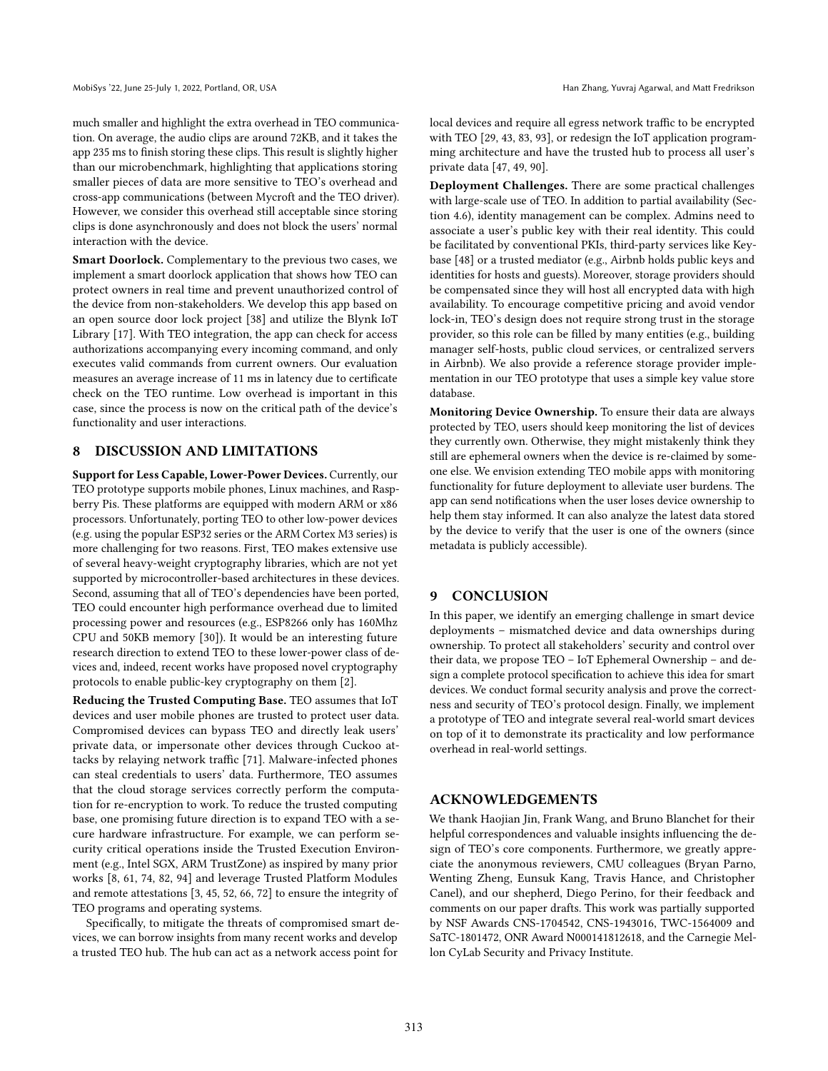much smaller and highlight the extra overhead in TEO communication. On average, the audio clips are around 72KB, and it takes the app 235 ms to finish storing these clips. This result is slightly higher than our microbenchmark, highlighting that applications storing smaller pieces of data are more sensitive to TEO's overhead and cross-app communications (between Mycroft and the TEO driver). However, we consider this overhead still acceptable since storing clips is done asynchronously and does not block the users' normal interaction with the device.

Smart Doorlock. Complementary to the previous two cases, we implement a smart doorlock application that shows how TEO can protect owners in real time and prevent unauthorized control of the device from non-stakeholders. We develop this app based on an open source door lock project [\[38\]](#page-12-37) and utilize the Blynk IoT Library [\[17\]](#page-12-40). With TEO integration, the app can check for access authorizations accompanying every incoming command, and only executes valid commands from current owners. Our evaluation measures an average increase of 11 ms in latency due to certificate check on the TEO runtime. Low overhead is important in this case, since the process is now on the critical path of the device's functionality and user interactions.

#### 8 DISCUSSION AND LIMITATIONS

Support for Less Capable, Lower-Power Devices. Currently, our TEO prototype supports mobile phones, Linux machines, and Raspberry Pis. These platforms are equipped with modern ARM or x86 processors. Unfortunately, porting TEO to other low-power devices (e.g. using the popular ESP32 series or the ARM Cortex M3 series) is more challenging for two reasons. First, TEO makes extensive use of several heavy-weight cryptography libraries, which are not yet supported by microcontroller-based architectures in these devices. Second, assuming that all of TEO's dependencies have been ported, TEO could encounter high performance overhead due to limited processing power and resources (e.g., ESP8266 only has 160Mhz CPU and 50KB memory [\[30\]](#page-12-41)). It would be an interesting future research direction to extend TEO to these lower-power class of devices and, indeed, recent works have proposed novel cryptography protocols to enable public-key cryptography on them [\[2\]](#page-12-42).

Reducing the Trusted Computing Base. TEO assumes that IoT devices and user mobile phones are trusted to protect user data. Compromised devices can bypass TEO and directly leak users' private data, or impersonate other devices through Cuckoo attacks by relaying network traffic [\[71\]](#page-13-34). Malware-infected phones can steal credentials to users' data. Furthermore, TEO assumes that the cloud storage services correctly perform the computation for re-encryption to work. To reduce the trusted computing base, one promising future direction is to expand TEO with a secure hardware infrastructure. For example, we can perform security critical operations inside the Trusted Execution Environment (e.g., Intel SGX, ARM TrustZone) as inspired by many prior works [\[8,](#page-12-7) [61,](#page-13-35) [74,](#page-13-36) [82,](#page-13-37) [94\]](#page-13-38) and leverage Trusted Platform Modules and remote attestations [\[3,](#page-12-43) [45,](#page-12-44) [52,](#page-13-39) [66,](#page-13-40) [72\]](#page-13-41) to ensure the integrity of TEO programs and operating systems.

Specifically, to mitigate the threats of compromised smart devices, we can borrow insights from many recent works and develop a trusted TEO hub. The hub can act as a network access point for

local devices and require all egress network traffic to be encrypted with TEO [\[29,](#page-12-45) [43,](#page-12-46) [83,](#page-13-42) [93\]](#page-13-43), or redesign the IoT application programming architecture and have the trusted hub to process all user's private data [\[47,](#page-12-47) [49,](#page-12-48) [90\]](#page-13-44).

Deployment Challenges. There are some practical challenges with large-scale use of TEO. In addition to partial availability (Section [4.6\)](#page-7-2), identity management can be complex. Admins need to associate a user's public key with their real identity. This could be facilitated by conventional PKIs, third-party services like Keybase [\[48\]](#page-12-49) or a trusted mediator (e.g., Airbnb holds public keys and identities for hosts and guests). Moreover, storage providers should be compensated since they will host all encrypted data with high availability. To encourage competitive pricing and avoid vendor lock-in, TEO's design does not require strong trust in the storage provider, so this role can be filled by many entities (e.g., building manager self-hosts, public cloud services, or centralized servers in Airbnb). We also provide a reference storage provider implementation in our TEO prototype that uses a simple key value store database.

Monitoring Device Ownership. To ensure their data are always protected by TEO, users should keep monitoring the list of devices they currently own. Otherwise, they might mistakenly think they still are ephemeral owners when the device is re-claimed by someone else. We envision extending TEO mobile apps with monitoring functionality for future deployment to alleviate user burdens. The app can send notifications when the user loses device ownership to help them stay informed. It can also analyze the latest data stored by the device to verify that the user is one of the owners (since metadata is publicly accessible).

## 9 CONCLUSION

In this paper, we identify an emerging challenge in smart device deployments – mismatched device and data ownerships during ownership. To protect all stakeholders' security and control over their data, we propose TEO – IoT Ephemeral Ownership – and design a complete protocol specification to achieve this idea for smart devices. We conduct formal security analysis and prove the correctness and security of TEO's protocol design. Finally, we implement a prototype of TEO and integrate several real-world smart devices on top of it to demonstrate its practicality and low performance overhead in real-world settings.

## ACKNOWLEDGEMENTS

We thank Haojian Jin, Frank Wang, and Bruno Blanchet for their helpful correspondences and valuable insights influencing the design of TEO's core components. Furthermore, we greatly appreciate the anonymous reviewers, CMU colleagues (Bryan Parno, Wenting Zheng, Eunsuk Kang, Travis Hance, and Christopher Canel), and our shepherd, Diego Perino, for their feedback and comments on our paper drafts. This work was partially supported by NSF Awards CNS-1704542, CNS-1943016, TWC-1564009 and SaTC-1801472, ONR Award N000141812618, and the Carnegie Mellon CyLab Security and Privacy Institute.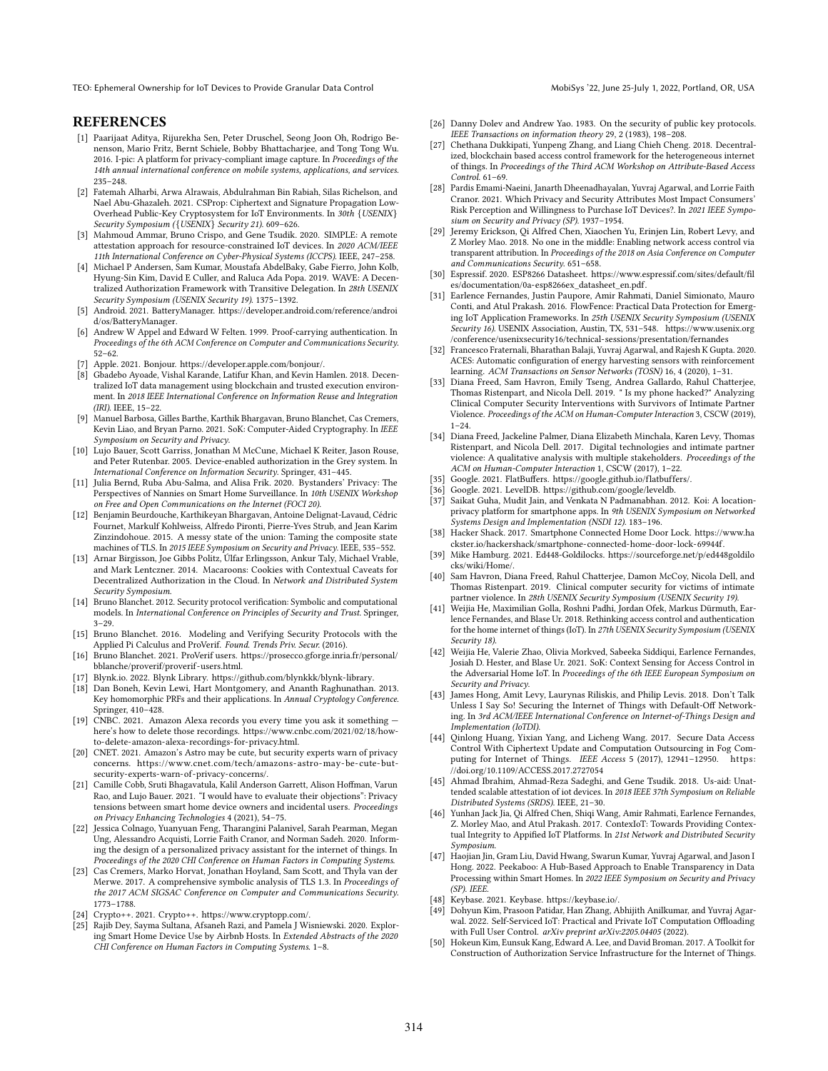# REFERENCES

- <span id="page-12-20"></span>[1] Paarijaat Aditya, Rijurekha Sen, Peter Druschel, Seong Joon Oh, Rodrigo Benenson, Mario Fritz, Bernt Schiele, Bobby Bhattacharjee, and Tong Tong Wu. 2016. I-pic: A platform for privacy-compliant image capture. In Proceedings of the 14th annual international conference on mobile systems, applications, and services. 235–248.
- <span id="page-12-42"></span>[2] Fatemah Alharbi, Arwa Alrawais, Abdulrahman Bin Rabiah, Silas Richelson, and Nael Abu-Ghazaleh. 2021. CSProp: Ciphertext and Signature Propagation Low-Overhead Public-Key Cryptosystem for IoT Environments. In 30th {USENIX} Security Symposium ({USENIX} Security 21). 609–626.
- <span id="page-12-43"></span>[3] Mahmoud Ammar, Bruno Crispo, and Gene Tsudik. 2020. SIMPLE: A remote attestation approach for resource-constrained IoT devices. In 2020 ACM/IEEE 11th International Conference on Cyber-Physical Systems (ICCPS). IEEE, 247–258.
- <span id="page-12-9"></span>[4] Michael P Andersen, Sam Kumar, Moustafa AbdelBaky, Gabe Fierro, John Kolb, Hyung-Sin Kim, David E Culler, and Raluca Ada Popa. 2019. WAVE: A Decentralized Authorization Framework with Transitive Delegation. In 28th USENIX Security Symposium (USENIX Security 19). 1375–1392.
- <span id="page-12-36"></span>[5] Android. 2021. BatteryManager. [https://developer.android.com/reference/androi](https://developer.android.com/reference/android/os/BatteryManager) [d/os/BatteryManager.](https://developer.android.com/reference/android/os/BatteryManager)
- <span id="page-12-27"></span>[6] Andrew W Appel and Edward W Felten. 1999. Proof-carrying authentication. In Proceedings of the 6th ACM Conference on Computer and Communications Security. 52–62.
- <span id="page-12-30"></span>[7] Apple. 2021. Bonjour. [https://developer.apple.com/bonjour/.](https://developer.apple.com/bonjour/)
- <span id="page-12-7"></span>[8] Gbadebo Ayoade, Vishal Karande, Latifur Khan, and Kevin Hamlen. 2018. Decentralized IoT data management using blockchain and trusted execution environment. In 2018 IEEE International Conference on Information Reuse and Integration (IRI). IEEE, 15–22.
- <span id="page-12-21"></span>[9] Manuel Barbosa, Gilles Barthe, Karthik Bhargavan, Bruno Blanchet, Cas Cremers, Kevin Liao, and Bryan Parno. 2021. SoK: Computer-Aided Cryptography. In IEEE Symposium on Security and Privacy.
- <span id="page-12-4"></span>[10] Lujo Bauer, Scott Garriss, Jonathan M McCune, Michael K Reiter, Jason Rouse, and Peter Rutenbar. 2005. Device-enabled authorization in the Grey system. In International Conference on Information Security. Springer, 431–445.
- <span id="page-12-1"></span>[11] Julia Bernd, Ruba Abu-Salma, and Alisa Frik. 2020. Bystanders' Privacy: The Perspectives of Nannies on Smart Home Surveillance. In 10th USENIX Workshop on Free and Open Communications on the Internet (FOCI 20).
- <span id="page-12-23"></span>[12] Benjamin Beurdouche, Karthikeyan Bhargavan, Antoine Delignat-Lavaud, Cédric Fournet, Markulf Kohlweiss, Alfredo Pironti, Pierre-Yves Strub, and Jean Karim Zinzindohoue. 2015. A messy state of the union: Taming the composite state machines of TLS. In 2015 IEEE Symposium on Security and Privacy. IEEE, 535-552.
- <span id="page-12-28"></span>[13] Arnar Birgisson, Joe Gibbs Politz, Úlfar Erlingsson, Ankur Taly, Michael Vrable, and Mark Lentczner. 2014. Macaroons: Cookies with Contextual Caveats for Decentralized Authorization in the Cloud. In Network and Distributed System Security Symposium.
- <span id="page-12-31"></span>[14] Bruno Blanchet. 2012. Security protocol verification: Symbolic and computational models. In International Conference on Principles of Security and Trust. Springer, 3–29.
- <span id="page-12-14"></span>[15] Bruno Blanchet. 2016. Modeling and Verifying Security Protocols with the Applied Pi Calculus and ProVerif. Found. Trends Priv. Secur. (2016).
- <span id="page-12-22"></span>[16] Bruno Blanchet. 2021. ProVerif users. [https://prosecco.gforge.inria.fr/personal/](https://prosecco.gforge.inria.fr/personal/bblanche/proverif/proverif-users.html) [bblanche/proverif/proverif -users.html.](https://prosecco.gforge.inria.fr/personal/bblanche/proverif/proverif-users.html)
- <span id="page-12-40"></span>[17] Blynk.io. 2022. Blynk Library. [https://github.com/blynkkk/blynk-library.](https://github.com/blynkkk/blynk-library)
- <span id="page-12-13"></span>[18] Dan Boneh, Kevin Lewi, Hart Montgomery, and Ananth Raghunathan. 2013. Key homomorphic PRFs and their applications. In Annual Cryptology Conference. Springer, 410–428.
- <span id="page-12-38"></span>[19] CNBC. 2021. Amazon Alexa records you every time you ask it something here's how to delete those recordings. [https://www.cnbc.com/2021/02/18/how](https://www.cnbc.com/2021/02/18/how-to-delete-amazon-alexa-recordings-for-privacy.html)[to-delete-amazon-alexa-recordings-for-privacy.html.](https://www.cnbc.com/2021/02/18/how-to-delete-amazon-alexa-recordings-for-privacy.html)
- <span id="page-12-39"></span>[20] CNET. 2021. Amazon's Astro may be cute, but security experts warn of privacy concerns. [https://www.cnet.com/tech/amazons-astro-may-be- cute-but](https://www.cnet.com/tech/amazons-astro-may-be-cute-but-security-experts-warn-of-privacy-concerns/)[security-experts-warn-of -privacy-concerns/.](https://www.cnet.com/tech/amazons-astro-may-be-cute-but-security-experts-warn-of-privacy-concerns/)
- <span id="page-12-11"></span>[21] Camille Cobb, Sruti Bhagavatula, Kalil Anderson Garrett, Alison Hoffman, Varun Rao, and Lujo Bauer. 2021. "I would have to evaluate their objections": Privacy tensions between smart home device owners and incidental users. Proceedings on Privacy Enhancing Technologies 4 (2021), 54–75.
- <span id="page-12-15"></span>[22] Jessica Colnago, Yuanyuan Feng, Tharangini Palanivel, Sarah Pearman, Megan Ung, Alessandro Acquisti, Lorrie Faith Cranor, and Norman Sadeh. 2020. Informing the design of a personalized privacy assistant for the internet of things. In Proceedings of the 2020 CHI Conference on Human Factors in Computing Systems.
- <span id="page-12-24"></span>[23] Cas Cremers, Marko Horvat, Jonathan Hoyland, Sam Scott, and Thyla van der Merwe. 2017. A comprehensive symbolic analysis of TLS 1.3. In Proceedings of the 2017 ACM SIGSAC Conference on Computer and Communications Security. 1773–1788.
- <span id="page-12-32"></span>[24] Crypto++. 2021. Crypto++. [https://www.cryptopp.com/.](https://www.cryptopp.com/)
- <span id="page-12-12"></span>[25] Rajib Dey, Sayma Sultana, Afsaneh Razi, and Pamela J Wisniewski. 2020. Exploring Smart Home Device Use by Airbnb Hosts. In Extended Abstracts of the 2020 CHI Conference on Human Factors in Computing Systems. 1–8.
- <span id="page-12-29"></span>[26] Danny Dolev and Andrew Yao. 1983. On the security of public key protocols. IEEE Transactions on information theory 29, 2 (1983), 198–208.
- <span id="page-12-8"></span>[27] Chethana Dukkipati, Yunpeng Zhang, and Liang Chieh Cheng. 2018. Decentralized, blockchain based access control framework for the heterogeneous internet of things. In Proceedings of the Third ACM Workshop on Attribute-Based Access Control. 61–69.
- <span id="page-12-2"></span>[28] Pardis Emami-Naeini, Janarth Dheenadhayalan, Yuvraj Agarwal, and Lorrie Faith Cranor. 2021. Which Privacy and Security Attributes Most Impact Consumers' Risk Perception and Willingness to Purchase IoT Devices?. In 2021 IEEE Symposium on Security and Privacy (SP). 1937–1954.
- <span id="page-12-45"></span>[29] Jeremy Erickson, Qi Alfred Chen, Xiaochen Yu, Erinjen Lin, Robert Levy, and Z Morley Mao. 2018. No one in the middle: Enabling network access control via transparent attribution. In Proceedings of the 2018 on Asia Conference on Computer and Communications Security. 651–658.
- <span id="page-12-41"></span>[30] Espressif. 2020. ESP8266 Datasheet. [https://www.espressif.com/sites/default/fil](https://www.espressif.com/sites/default/files/documentation/0a-esp8266ex_datasheet_en.pdf) [es/documentation/0a-esp8266ex\\_datasheet\\_en.pdf.](https://www.espressif.com/sites/default/files/documentation/0a-esp8266ex_datasheet_en.pdf)
- <span id="page-12-5"></span>[31] Earlence Fernandes, Justin Paupore, Amir Rahmati, Daniel Simionato, Mauro Conti, and Atul Prakash. 2016. FlowFence: Practical Data Protection for Emerging IoT Application Frameworks. In 25th USENIX Security Symposium (USENIX Security 16). USENIX Association, Austin, TX, 531–548. [https://www.usenix.org](https://www.usenix.org/conference/usenixsecurity16/technical-sessions/presentation/fernandes) [/conference/usenixsecurity16/technical-sessions/presentation/fernandes](https://www.usenix.org/conference/usenixsecurity16/technical-sessions/presentation/fernandes)
- <span id="page-12-0"></span>[32] Francesco Fraternali, Bharathan Balaji, Yuvraj Agarwal, and Rajesh K Gupta. 2020. ACES: Automatic configuration of energy harvesting sensors with reinforcement learning. ACM Transactions on Sensor Networks (TOSN) 16, 4 (2020), 1–31.
- <span id="page-12-16"></span>[33] Diana Freed, Sam Havron, Emily Tseng, Andrea Gallardo, Rahul Chatterjee, Thomas Ristenpart, and Nicola Dell. 2019. " Is my phone hacked?" Analyzing Clinical Computer Security Interventions with Survivors of Intimate Partner Violence. Proceedings of the ACM on Human-Computer Interaction 3, CSCW (2019),  $1 - 24.$
- <span id="page-12-17"></span>[34] Diana Freed, Jackeline Palmer, Diana Elizabeth Minchala, Karen Levy, Thomas Ristenpart, and Nicola Dell. 2017. Digital technologies and intimate partner violence: A qualitative analysis with multiple stakeholders. Proceedings of the ACM on Human-Computer Interaction 1, CSCW (2017), 1–22.
- <span id="page-12-34"></span>[35] Google. 2021. FlatBuffers. [https://google.github.io/flatbuf fers/.](https://google.github.io/flatbuffers/)
- <span id="page-12-35"></span>[36] Google. 2021. LevelDB. [https://github.com/google/leveldb.](https://github.com/google/leveldb)
- <span id="page-12-25"></span>[37] Saikat Guha, Mudit Jain, and Venkata N Padmanabhan. 2012. Koi: A locationprivacy platform for smartphone apps. In 9th USENIX Symposium on Networked Systems Design and Implementation (NSDI 12). 183–196.
- <span id="page-12-37"></span>[38] Hacker Shack. 2017. Smartphone Connected Home Door Lock. [https://www.ha](https://www.hackster.io/hackershack/smartphone-connected-home-door-lock-69944f) [ckster.io/hackershack/smartphone-connected-home-door-lock-69944f.](https://www.hackster.io/hackershack/smartphone-connected-home-door-lock-69944f)
- <span id="page-12-33"></span>[39] Mike Hamburg. 2021. Ed448-Goldilocks. [https://sourceforge.net/p/ed448goldilo](https://sourceforge.net/p/ed448goldilocks/wiki/Home/) [cks/wiki/Home/.](https://sourceforge.net/p/ed448goldilocks/wiki/Home/)
- <span id="page-12-18"></span>[40] Sam Havron, Diana Freed, Rahul Chatterjee, Damon McCoy, Nicola Dell, and Thomas Ristenpart. 2019. Clinical computer security for victims of intimate partner violence. In 28th USENIX Security Symposium (USENIX Security 19).
- <span id="page-12-3"></span>[41] Weijia He, Maximilian Golla, Roshni Padhi, Jordan Ofek, Markus Dürmuth, Earlence Fernandes, and Blase Ur. 2018. Rethinking access control and authentication for the home internet of things (IoT). In 27th USENIX Security Symposium (USENIX Security 18).
- <span id="page-12-19"></span>[42] Weijia He, Valerie Zhao, Olivia Morkved, Sabeeka Siddiqui, Earlence Fernandes, Josiah D. Hester, and Blase Ur. 2021. SoK: Context Sensing for Access Control in the Adversarial Home IoT. In Proceedings of the 6th IEEE European Symposium on Security and Privacy.
- <span id="page-12-46"></span>[43] James Hong, Amit Levy, Laurynas Riliskis, and Philip Levis. 2018. Don't Talk Unless I Say So! Securing the Internet of Things with Default-Off Networking. In 3rd ACM/IEEE International Conference on Internet-of-Things Design and Implementation (IoTDI).
- <span id="page-12-10"></span>[44] Qinlong Huang, Yixian Yang, and Licheng Wang. 2017. Secure Data Access Control With Ciphertext Update and Computation Outsourcing in Fog Computing for Internet of Things. IEEE Access 5 (2017), 12941–12950. [https:](https://doi.org/10.1109/ACCESS.2017.2727054) [//doi.org/10.1109/ACCESS.2017.2727054](https://doi.org/10.1109/ACCESS.2017.2727054)
- <span id="page-12-44"></span>[45] Ahmad Ibrahim, Ahmad-Reza Sadeghi, and Gene Tsudik. 2018. Us-aid: Unattended scalable attestation of iot devices. In 2018 IEEE 37th Symposium on Reliable Distributed Systems (SRDS). IEEE, 21–30.
- <span id="page-12-6"></span>[46] Yunhan Jack Jia, Qi Alfred Chen, Shiqi Wang, Amir Rahmati, Earlence Fernandes, Z. Morley Mao, and Atul Prakash. 2017. ContexIoT: Towards Providing Contextual Integrity to Appified IoT Platforms. In 21st Network and Distributed Security Symposium.
- <span id="page-12-47"></span>[47] Haojian Jin, Gram Liu, David Hwang, Swarun Kumar, Yuvraj Agarwal, and Jason I Hong. 2022. Peekaboo: A Hub-Based Approach to Enable Transparency in Data Processing within Smart Homes. In 2022 IEEE Symposium on Security and Privacy (SP). IEEE.
- <span id="page-12-49"></span>[48] Keybase. 2021. Keybase. [https://keybase.io/.](https://keybase.io/)
- <span id="page-12-48"></span>[49] Dohyun Kim, Prasoon Patidar, Han Zhang, Abhijith Anilkumar, and Yuvraj Agarwal. 2022. Self-Serviced IoT: Practical and Private IoT Computation Offloading with Full User Control. arXiv preprint arXiv:2205.04405 (2022).
- <span id="page-12-26"></span>[50] Hokeun Kim, Eunsuk Kang, Edward A. Lee, and David Broman. 2017. A Toolkit for Construction of Authorization Service Infrastructure for the Internet of Things.